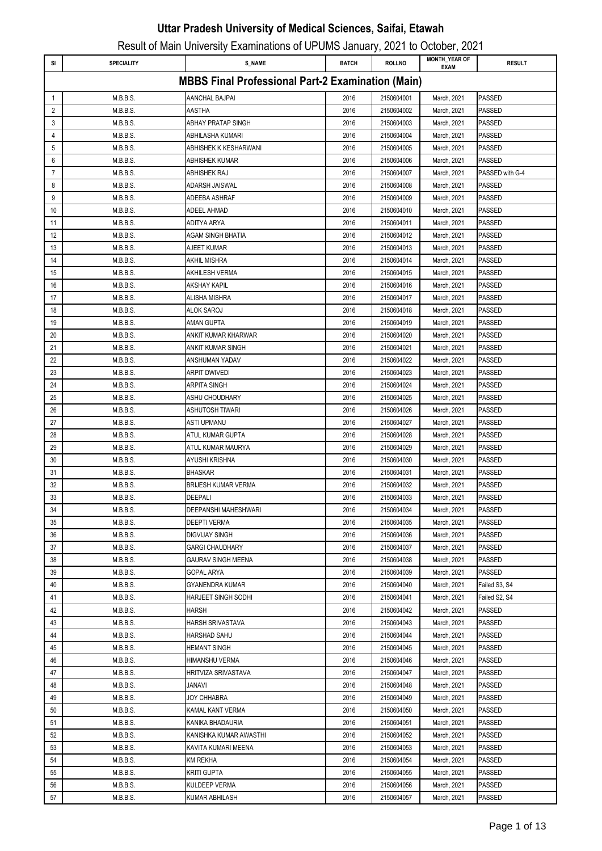| SI | <b>SPECIALITY</b> | <b>S_NAME</b>                                            | <b>BATCH</b> | <b>ROLLNO</b> | <b>MONTH_YEAR OF</b><br><b>EXAM</b> | <b>RESULT</b>   |
|----|-------------------|----------------------------------------------------------|--------------|---------------|-------------------------------------|-----------------|
|    |                   | <b>MBBS Final Professional Part-2 Examination (Main)</b> |              |               |                                     |                 |
| 1  | M.B.B.S.          | AANCHAL BAJPAI                                           | 2016         | 2150604001    | March, 2021                         | <b>PASSED</b>   |
| 2  | M.B.B.S.          | <b>AASTHA</b>                                            | 2016         | 2150604002    | March, 2021                         | <b>PASSED</b>   |
| 3  | M.B.B.S.          | <b>ABHAY PRATAP SINGH</b>                                | 2016         | 2150604003    | March, 2021                         | <b>PASSED</b>   |
| 4  | M.B.B.S.          | ABHILASHA KUMARI                                         | 2016         | 2150604004    | March, 2021                         | <b>PASSED</b>   |
| 5  | M.B.B.S.          | ABHISHEK K KESHARWANI                                    | 2016         | 2150604005    | March, 2021                         | <b>PASSED</b>   |
| 6  | M.B.B.S.          | ABHISHEK KUMAR                                           | 2016         | 2150604006    | March, 2021                         | <b>PASSED</b>   |
| 7  | M.B.B.S.          | ABHISHEK RAJ                                             | 2016         | 2150604007    | March, 2021                         | PASSED with G-4 |
| 8  | M.B.B.S.          | ADARSH JAISWAL                                           | 2016         | 2150604008    | March, 2021                         | <b>PASSED</b>   |
| 9  | M.B.B.S.          | ADEEBA ASHRAF                                            | 2016         | 2150604009    | March, 2021                         | <b>PASSED</b>   |
| 10 | M.B.B.S.          | ADEEL AHMAD                                              | 2016         | 2150604010    | March, 2021                         | <b>PASSED</b>   |
| 11 | M.B.B.S.          | ADITYA ARYA                                              | 2016         | 2150604011    | March, 2021                         | <b>PASSED</b>   |
| 12 | M.B.B.S.          | AGAM SINGH BHATIA                                        | 2016         | 2150604012    | March, 2021                         | <b>PASSED</b>   |
| 13 | M.B.B.S.          | AJEET KUMAR                                              | 2016         | 2150604013    | March, 2021                         | <b>PASSED</b>   |
| 14 | M.B.B.S.          | AKHIL MISHRA                                             | 2016         | 2150604014    | March, 2021                         | PASSED          |
| 15 | M.B.B.S.          | AKHILESH VERMA                                           | 2016         | 2150604015    | March, 2021                         | <b>PASSED</b>   |
| 16 | M.B.B.S.          | AKSHAY KAPIL                                             | 2016         | 2150604016    | March, 2021                         | <b>PASSED</b>   |
| 17 | M.B.B.S.          | ALISHA MISHRA                                            | 2016         | 2150604017    | March, 2021                         | <b>PASSED</b>   |
| 18 | M.B.B.S.          | ALOK SAROJ                                               | 2016         | 2150604018    | March, 2021                         | <b>PASSED</b>   |
| 19 | M.B.B.S.          | AMAN GUPTA                                               | 2016         | 2150604019    | March, 2021                         | <b>PASSED</b>   |
| 20 | M.B.B.S.          | ANKIT KUMAR KHARWAR                                      | 2016         | 2150604020    | March, 2021                         | <b>PASSED</b>   |
| 21 | M.B.B.S.          | ANKIT KUMAR SINGH                                        | 2016         | 2150604021    | March, 2021                         | <b>PASSED</b>   |
| 22 | M.B.B.S.          | ANSHUMAN YADAV                                           | 2016         | 2150604022    | March, 2021                         | <b>PASSED</b>   |
| 23 | M.B.B.S.          | ARPIT DWIVEDI                                            | 2016         | 2150604023    | March, 2021                         | <b>PASSED</b>   |
| 24 | M.B.B.S.          | ARPITA SINGH                                             | 2016         | 2150604024    | March, 2021                         | <b>PASSED</b>   |
| 25 | M.B.B.S.          | ASHU CHOUDHARY                                           | 2016         | 2150604025    | March, 2021                         | <b>PASSED</b>   |
| 26 | M.B.B.S.          | ASHUTOSH TIWARI                                          | 2016         | 2150604026    | March, 2021                         | <b>PASSED</b>   |
| 27 | M.B.B.S.          | ASTI UPMANU                                              | 2016         | 2150604027    | March, 2021                         | PASSED          |
| 28 | M.B.B.S.          | ATUL KUMAR GUPTA                                         | 2016         | 2150604028    | March, 2021                         | <b>PASSED</b>   |
| 29 | M.B.B.S.          | ATUL KUMAR MAURYA                                        | 2016         | 2150604029    | March, 2021                         | <b>PASSED</b>   |
| 30 | M.B.B.S.          | AYUSHI KRISHNA                                           | 2016         | 2150604030    | March, 2021                         | <b>PASSED</b>   |
| 31 | M.B.B.S.          | <b>BHASKAR</b>                                           | 2016         | 2150604031    | March, 2021                         | <b>PASSED</b>   |
| 32 | M.B.B.S.          | <b>BRIJESH KUMAR VERMA</b>                               | 2016         | 2150604032    | March, 2021                         | <b>PASSED</b>   |
| 33 | M.B.B.S.          | DEEPALI                                                  | 2016         | 2150604033    | March, 2021                         | <b>PASSED</b>   |
| 34 | M.B.B.S.          | DEEPANSHI MAHESHWARI                                     | 2016         | 2150604034    | March, 2021                         | <b>PASSED</b>   |
| 35 | M.B.B.S.          | <b>DEEPTI VERMA</b>                                      | 2016         | 2150604035    | March, 2021                         | <b>PASSED</b>   |
| 36 | M.B.B.S.          | <b>DIGVIJAY SINGH</b>                                    | 2016         | 2150604036    | March, 2021                         | <b>PASSED</b>   |
| 37 | M.B.B.S.          | <b>GARGI CHAUDHARY</b>                                   | 2016         | 2150604037    | March, 2021                         | <b>PASSED</b>   |
| 38 | M.B.B.S.          | GAURAV SINGH MEENA                                       | 2016         | 2150604038    | March, 2021                         | <b>PASSED</b>   |
| 39 | M.B.B.S.          | GOPAL ARYA                                               | 2016         | 2150604039    | March, 2021                         | <b>PASSED</b>   |
| 40 | M.B.B.S.          | <b>GYANENDRA KUMAR</b>                                   | 2016         | 2150604040    | March, 2021                         | Failed S3, S4   |
| 41 | M.B.B.S.          | HARJEET SINGH SODHI                                      | 2016         | 2150604041    | March, 2021                         | Failed S2, S4   |
| 42 | M.B.B.S.          | HARSH                                                    | 2016         | 2150604042    | March, 2021                         | PASSED          |
| 43 | M.B.B.S.          | HARSH SRIVASTAVA                                         | 2016         | 2150604043    | March, 2021                         | <b>PASSED</b>   |
| 44 | M.B.B.S.          | HARSHAD SAHU                                             | 2016         | 2150604044    | March, 2021                         | <b>PASSED</b>   |
| 45 | M.B.B.S.          | <b>HEMANT SINGH</b>                                      | 2016         | 2150604045    | March, 2021                         | <b>PASSED</b>   |
| 46 | M.B.B.S.          | HIMANSHU VERMA                                           | 2016         | 2150604046    | March, 2021                         | PASSED          |
| 47 | M.B.B.S.          | <b>HRITVIZA SRIVASTAVA</b>                               | 2016         | 2150604047    | March, 2021                         | <b>PASSED</b>   |
| 48 | M.B.B.S.          | JANAVI                                                   | 2016         | 2150604048    | March, 2021                         | <b>PASSED</b>   |
| 49 | M.B.B.S.          | JOY CHHABRA                                              | 2016         | 2150604049    | March, 2021                         | <b>PASSED</b>   |
| 50 | M.B.B.S.          | KAMAL KANT VERMA                                         | 2016         | 2150604050    | March, 2021                         | <b>PASSED</b>   |
| 51 | M.B.B.S.          | KANIKA BHADAURIA                                         | 2016         | 2150604051    | March, 2021                         | <b>PASSED</b>   |
| 52 | M.B.B.S.          | KANISHKA KUMAR AWASTHI                                   | 2016         | 2150604052    | March, 2021                         | <b>PASSED</b>   |
| 53 | M.B.B.S.          | KAVITA KUMARI MEENA                                      | 2016         | 2150604053    | March, 2021                         | <b>PASSED</b>   |
| 54 | M.B.B.S.          | KM REKHA                                                 | 2016         | 2150604054    | March, 2021                         | <b>PASSED</b>   |
| 55 | M.B.B.S.          | KRITI GUPTA                                              | 2016         | 2150604055    | March, 2021                         | <b>PASSED</b>   |
| 56 | M.B.B.S.          | KULDEEP VERMA                                            | 2016         | 2150604056    | March, 2021                         | PASSED          |
| 57 | M.B.B.S.          | KUMAR ABHILASH                                           | 2016         | 2150604057    | March, 2021                         | PASSED          |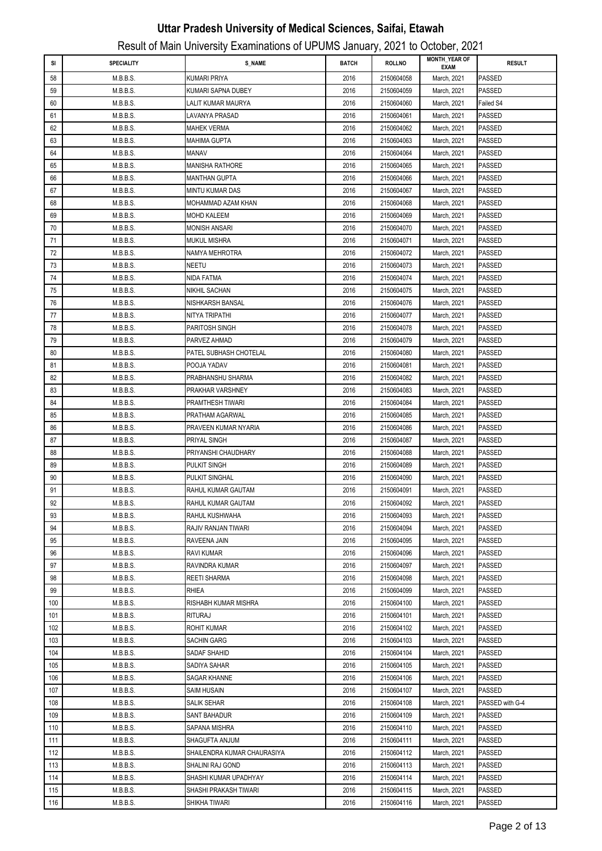|     |                   |                             |              |               | <br><b>MONTH_YEAR OF</b> |                 |
|-----|-------------------|-----------------------------|--------------|---------------|--------------------------|-----------------|
| SI  | <b>SPECIALITY</b> | <b>S_NAME</b>               | <b>BATCH</b> | <b>ROLLNO</b> | EXAM                     | <b>RESULT</b>   |
| 58  | M.B.B.S.          | <b>KUMARI PRIYA</b>         | 2016         | 2150604058    | March, 2021              | PASSED          |
| 59  | M.B.B.S.          | KUMARI SAPNA DUBEY          | 2016         | 2150604059    | March, 2021              | PASSED          |
| 60  | M.B.B.S.          | LALIT KUMAR MAURYA          | 2016         | 2150604060    | March, 2021              | Failed S4       |
| 61  | M.B.B.S.          | LAVANYA PRASAD              | 2016         | 2150604061    | March, 2021              | PASSED          |
| 62  | M.B.B.S.          | MAHEK VERMA                 | 2016         | 2150604062    | March, 2021              | PASSED          |
| 63  | M.B.B.S.          | MAHIMA GUPTA                | 2016         | 2150604063    | March, 2021              | PASSED          |
| 64  | M.B.B.S.          | MANAV                       | 2016         | 2150604064    | March, 2021              | PASSED          |
| 65  | M.B.B.S.          | <b>MANISHA RATHORE</b>      | 2016         | 2150604065    | March, 2021              | PASSED          |
| 66  | M.B.B.S.          | MANTHAN GUPTA               | 2016         | 2150604066    | March, 2021              | PASSED          |
| 67  | M.B.B.S.          | MINTU KUMAR DAS             | 2016         | 2150604067    | March, 2021              | PASSED          |
| 68  | M.B.B.S.          | MOHAMMAD AZAM KHAN          | 2016         | 2150604068    | March, 2021              | PASSED          |
| 69  | M.B.B.S.          | <b>MOHD KALEEM</b>          | 2016         | 2150604069    | March, 2021              | PASSED          |
| 70  | M.B.B.S.          | MONISH ANSARI               | 2016         | 2150604070    | March, 2021              | PASSED          |
| 71  | M.B.B.S.          | <b>MUKUL MISHRA</b>         | 2016         | 2150604071    | March, 2021              | PASSED          |
| 72  | M.B.B.S.          | NAMYA MEHROTRA              | 2016         | 2150604072    | March, 2021              | PASSED          |
| 73  | M.B.B.S.          | NEETU                       | 2016         | 2150604073    | March, 2021              | PASSED          |
| 74  | M.B.B.S.          | NIDA FATMA                  | 2016         | 2150604074    | March, 2021              | PASSED          |
| 75  | M.B.B.S.          | NIKHIL SACHAN               | 2016         | 2150604075    | March, 2021              | PASSED          |
| 76  | M.B.B.S.          | NISHKARSH BANSAL            | 2016         | 2150604076    | March, 2021              | PASSED          |
| 77  | M.B.B.S.          | NITYA TRIPATHI              | 2016         | 2150604077    | March, 2021              | PASSED          |
| 78  | M.B.B.S.          | PARITOSH SINGH              | 2016         | 2150604078    | March, 2021              | PASSED          |
| 79  | M.B.B.S.          | PARVEZ AHMAD                | 2016         | 2150604079    | March, 2021              | PASSED          |
| 80  | M.B.B.S.          | PATEL SUBHASH CHOTELAL      | 2016         | 2150604080    | March, 2021              | PASSED          |
| 81  | M.B.B.S.          | POOJA YADAV                 | 2016         | 2150604081    | March, 2021              | PASSED          |
| 82  | M.B.B.S.          | PRABHANSHU SHARMA           | 2016         | 2150604082    | March, 2021              | PASSED          |
| 83  |                   |                             | 2016         |               |                          |                 |
|     | M.B.B.S.          | PRAKHAR VARSHNEY            |              | 2150604083    | March, 2021              | PASSED          |
| 84  | M.B.B.S.          | PRAMTHESH TIWARI            | 2016         | 2150604084    | March, 2021              | PASSED          |
| 85  | M.B.B.S.          | PRATHAM AGARWAL             | 2016         | 2150604085    | March, 2021              | PASSED          |
| 86  | M.B.B.S.          | PRAVEEN KUMAR NYARIA        | 2016         | 2150604086    | March, 2021              | PASSED          |
| 87  | M.B.B.S.          | PRIYAL SINGH                | 2016         | 2150604087    | March, 2021              | PASSED          |
| 88  | M.B.B.S.          | PRIYANSHI CHAUDHARY         | 2016         | 2150604088    | March, 2021              | PASSED          |
| 89  | M.B.B.S.          | PULKIT SINGH                | 2016         | 2150604089    | March, 2021              | PASSED          |
| 90  | M.B.B.S.          | PULKIT SINGHAL              | 2016         | 2150604090    | March, 2021              | PASSED          |
| 91  | M.B.B.S.          | RAHUL KUMAR GAUTAM          | 2016         | 2150604091    | March, 2021              | <b>PASSED</b>   |
| 92  | M.B.B.S.          | RAHUL KUMAR GAUTAM          | 2016         | 2150604092    | March, 2021              | <b>PASSED</b>   |
| 93  | M.B.B.S.          | RAHUL KUSHWAHA              | 2016         | 2150604093    | March, 2021              | PASSED          |
| 94  | M.B.B.S.          | RAJIV RANJAN TIWARI         | 2016         | 2150604094    | March, 2021              | PASSED          |
| 95  | M.B.B.S.          | RAVEENA JAIN                | 2016         | 2150604095    | March, 2021              | PASSED          |
| 96  | M.B.B.S.          | RAVI KUMAR                  | 2016         | 2150604096    | March, 2021              | PASSED          |
| 97  | M.B.B.S.          | RAVINDRA KUMAR              | 2016         | 2150604097    | March, 2021              | PASSED          |
| 98  | M.B.B.S.          | <b>REETI SHARMA</b>         | 2016         | 2150604098    | March, 2021              | PASSED          |
| 99  | M.B.B.S.          | RHIEA                       | 2016         | 2150604099    | March, 2021              | PASSED          |
| 100 | M.B.B.S.          | RISHABH KUMAR MISHRA        | 2016         | 2150604100    | March, 2021              | PASSED          |
| 101 | M.B.B.S.          | RITURAJ                     | 2016         | 2150604101    | March, 2021              | PASSED          |
| 102 | M.B.B.S.          | <b>ROHIT KUMAR</b>          | 2016         | 2150604102    | March, 2021              | PASSED          |
| 103 | M.B.B.S.          | <b>SACHIN GARG</b>          | 2016         | 2150604103    | March, 2021              | PASSED          |
| 104 | M.B.B.S.          | SADAF SHAHID                | 2016         | 2150604104    | March, 2021              | PASSED          |
| 105 | M.B.B.S.          | SADIYA SAHAR                | 2016         | 2150604105    | March, 2021              | PASSED          |
| 106 | M.B.B.S.          | SAGAR KHANNE                | 2016         | 2150604106    | March, 2021              | PASSED          |
| 107 | M.B.B.S.          | SAIM HUSAIN                 | 2016         | 2150604107    | March, 2021              | PASSED          |
| 108 | M.B.B.S.          | SALIK SEHAR                 | 2016         | 2150604108    | March, 2021              | PASSED with G-4 |
| 109 | M.B.B.S.          | SANT BAHADUR                | 2016         | 2150604109    | March, 2021              | PASSED          |
| 110 | M.B.B.S.          | SAPANA MISHRA               | 2016         | 2150604110    | March, 2021              | PASSED          |
| 111 | M.B.B.S.          | SHAGUFTA ANJUM              | 2016         | 2150604111    | March, 2021              | PASSED          |
| 112 | M.B.B.S.          | SHAILENDRA KUMAR CHAURASIYA | 2016         | 2150604112    | March, 2021              | PASSED          |
| 113 | M.B.B.S.          | SHALINI RAJ GOND            | 2016         | 2150604113    | March, 2021              | PASSED          |
| 114 | M.B.B.S.          | SHASHI KUMAR UPADHYAY       | 2016         | 2150604114    | March, 2021              | PASSED          |
| 115 | M.B.B.S.          | SHASHI PRAKASH TIWARI       | 2016         | 2150604115    | March, 2021              | PASSED          |
| 116 | M.B.B.S.          | SHIKHA TIWARI               | 2016         | 2150604116    | March, 2021              | PASSED          |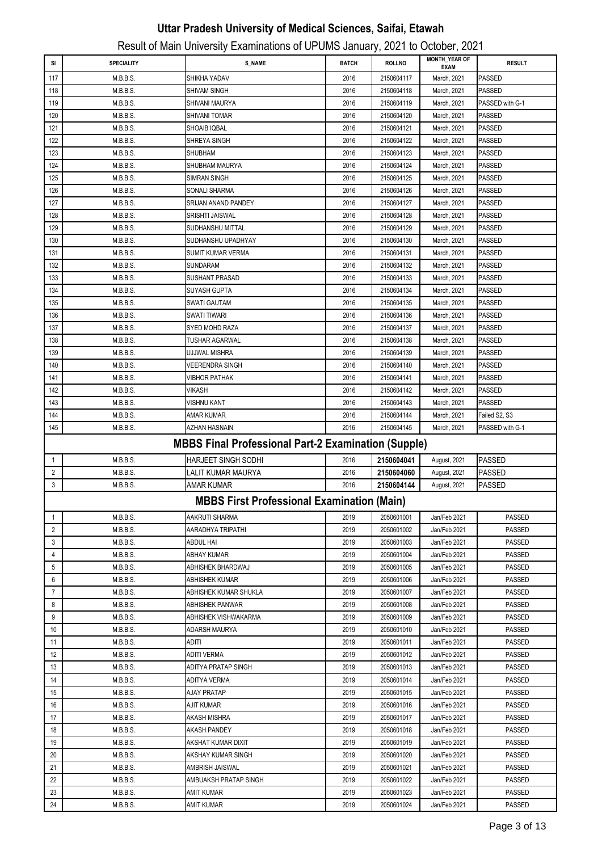|                |                   | Result of Main University Examinations of UPUMS January, 2021 to October, 2021 |              |               |                                     |                                |
|----------------|-------------------|--------------------------------------------------------------------------------|--------------|---------------|-------------------------------------|--------------------------------|
| SI             | <b>SPECIALITY</b> | <b>S_NAME</b>                                                                  | <b>BATCH</b> | <b>ROLLNO</b> | <b>MONTH YEAR OF</b><br><b>EXAM</b> | <b>RESULT</b>                  |
| 117            | M.B.B.S.          | SHIKHA YADAV                                                                   | 2016         | 2150604117    | March, 2021                         | <b>PASSED</b>                  |
| 118            | M.B.B.S.          | SHIVAM SINGH                                                                   | 2016         | 2150604118    | March, 2021                         | <b>PASSED</b>                  |
| 119            | M.B.B.S.          | SHIVANI MAURYA                                                                 | 2016         | 2150604119    | March, 2021                         | PASSED with G-1                |
| 120            | M.B.B.S.          | SHIVANI TOMAR                                                                  | 2016         | 2150604120    | March, 2021                         | <b>PASSED</b>                  |
| 121            | M.B.B.S.          | SHOAIB IQBAL                                                                   | 2016         | 2150604121    | March, 2021                         | <b>PASSED</b>                  |
| 122            | M.B.B.S.          | SHREYA SINGH                                                                   | 2016         | 2150604122    | March, 2021                         | <b>PASSED</b>                  |
| 123            | M.B.B.S.          | SHUBHAM                                                                        | 2016         | 2150604123    | March, 2021                         | <b>PASSED</b>                  |
| 124            | M.B.B.S.          | SHUBHAM MAURYA                                                                 | 2016         | 2150604124    | March, 2021                         | <b>PASSED</b>                  |
| 125            | M.B.B.S.          | <b>SIMRAN SINGH</b>                                                            | 2016         | 2150604125    | March, 2021                         | <b>PASSED</b>                  |
| 126            | M.B.B.S.          | SONALI SHARMA                                                                  | 2016         | 2150604126    | March, 2021                         | <b>PASSED</b>                  |
| 127            | M.B.B.S.          | SRIJAN ANAND PANDEY                                                            | 2016         | 2150604127    | March, 2021                         | <b>PASSED</b>                  |
| 128            | M.B.B.S.          | SRISHTI JAISWAL                                                                | 2016         | 2150604128    | March, 2021                         | <b>PASSED</b>                  |
| 129            | M.B.B.S.          | SUDHANSHU MITTAL                                                               | 2016         | 2150604129    | March, 2021                         | <b>PASSED</b>                  |
| 130            | M.B.B.S.          | SUDHANSHU UPADHYAY                                                             | 2016         | 2150604130    | March, 2021                         | <b>PASSED</b>                  |
| 131            | M.B.B.S.          | SUMIT KUMAR VERMA                                                              | 2016         | 2150604131    | March, 2021                         | <b>PASSED</b>                  |
| 132            | M.B.B.S.          | SUNDARAM                                                                       | 2016         | 2150604132    | March, 2021                         | <b>PASSED</b>                  |
| 133            | M.B.B.S.          | SUSHANT PRASAD                                                                 | 2016         | 2150604133    | March, 2021                         | <b>PASSED</b>                  |
| 134            | M.B.B.S.          | SUYASH GUPTA                                                                   | 2016         | 2150604134    | March, 2021                         | <b>PASSED</b>                  |
|                | M.B.B.S.          |                                                                                | 2016         |               | March, 2021                         | <b>PASSED</b>                  |
| 135            |                   | SWATI GAUTAM                                                                   |              | 2150604135    |                                     |                                |
| 136            | M.B.B.S.          | SWATI TIWARI                                                                   | 2016         | 2150604136    | March, 2021<br>March, 2021          | <b>PASSED</b><br><b>PASSED</b> |
| 137            | M.B.B.S.          | <b>SYED MOHD RAZA</b>                                                          | 2016         | 2150604137    |                                     |                                |
| 138            | M.B.B.S.          | <b>TUSHAR AGARWAL</b>                                                          | 2016         | 2150604138    | March, 2021                         | <b>PASSED</b>                  |
| 139            | M.B.B.S.          | UJJWAL MISHRA                                                                  | 2016         | 2150604139    | March, 2021                         | <b>PASSED</b>                  |
| 140            | M.B.B.S.          | VEERENDRA SINGH                                                                | 2016         | 2150604140    | March, 2021                         | <b>PASSED</b>                  |
| 141            | M.B.B.S.          | <b>VIBHOR PATHAK</b>                                                           | 2016         | 2150604141    | March, 2021                         | <b>PASSED</b>                  |
| 142            | M.B.B.S.          | <b>VIKASH</b>                                                                  | 2016         | 2150604142    | March, 2021                         | <b>PASSED</b>                  |
| 143            | M.B.B.S.          | <b>VISHNU KANT</b>                                                             | 2016         | 2150604143    | March, 2021                         | <b>PASSED</b>                  |
| 144            | M.B.B.S.          | AMAR KUMAR                                                                     | 2016         | 2150604144    | March, 2021                         | Failed S2, S3                  |
| 145            | M.B.B.S.          | AZHAN HASNAIN                                                                  | 2016         | 2150604145    | March, 2021                         | PASSED with G-1                |
|                |                   | <b>MBBS Final Professional Part-2 Examination (Supple)</b>                     |              |               |                                     |                                |
| 1              | M.B.B.S.          | <b>HARJEET SINGH SODHI</b>                                                     | 2016         | 2150604041    | August, 2021                        | <b>PASSED</b>                  |
| $\overline{2}$ | M.B.B.S.          | LALIT KUMAR MAURYA                                                             | 2016         | 2150604060    | August, 2021                        | <b>PASSED</b>                  |
| 3              | M.B.B.S.          | AMAR KUMAR                                                                     | 2016         | 2150604144    | August, 2021                        | <b>PASSED</b>                  |
|                |                   | <b>MBBS First Professional Examination (Main)</b>                              |              |               |                                     |                                |
| 1              | M.B.B.S.          | AAKRUTI SHARMA                                                                 | 2019         | 2050601001    | Jan/Feb 2021                        | PASSED                         |
| 2              | M.B.B.S.          | AARADHYA TRIPATHI                                                              | 2019         | 2050601002    | Jan/Feb 2021                        | PASSED                         |
| 3              | M.B.B.S.          | ABDUL HAI                                                                      | 2019         | 2050601003    | Jan/Feb 2021                        | <b>PASSED</b>                  |
| 4              | M.B.B.S.          | <b>ABHAY KUMAR</b>                                                             | 2019         | 2050601004    | Jan/Feb 2021                        | <b>PASSED</b>                  |
| 5              | M.B.B.S.          | ABHISHEK BHARDWAJ                                                              | 2019         | 2050601005    | Jan/Feb 2021                        | <b>PASSED</b>                  |
| 6              | M.B.B.S.          | <b>ABHISHEK KUMAR</b>                                                          | 2019         | 2050601006    | Jan/Feb 2021                        | PASSED                         |
| $\overline{7}$ | M.B.B.S.          | ABHISHEK KUMAR SHUKLA                                                          | 2019         | 2050601007    | Jan/Feb 2021                        | PASSED                         |
| 8              | M.B.B.S.          | <b>ABHISHEK PANWAR</b>                                                         | 2019         | 2050601008    | Jan/Feb 2021                        | <b>PASSED</b>                  |
| 9              | M.B.B.S.          | ABHISHEK VISHWAKARMA                                                           | 2019         | 2050601009    | Jan/Feb 2021                        | <b>PASSED</b>                  |
| 10             | M.B.B.S.          | ADARSH MAURYA                                                                  | 2019         | 2050601010    | Jan/Feb 2021                        | <b>PASSED</b>                  |
| 11             | M.B.B.S.          | aditi                                                                          | 2019         | 2050601011    | Jan/Feb 2021                        | PASSED                         |
|                |                   |                                                                                |              |               |                                     |                                |
| 12             | M.B.B.S.          | <b>ADITI VERMA</b>                                                             | 2019         | 2050601012    | Jan/Feb 2021                        | <b>PASSED</b>                  |
| 13             | M.B.B.S.          | ADITYA PRATAP SINGH                                                            | 2019         | 2050601013    | Jan/Feb 2021                        | PASSED                         |
| 14             | M.B.B.S.          | ADITYA VERMA                                                                   | 2019         | 2050601014    | Jan/Feb 2021                        | PASSED                         |
| 15             | M.B.B.S.          | AJAY PRATAP                                                                    | 2019         | 2050601015    | Jan/Feb 2021                        | PASSED                         |
| 16             | M.B.B.S.          | <b>AJIT KUMAR</b>                                                              | 2019         | 2050601016    | Jan/Feb 2021                        | <b>PASSED</b>                  |
| 17             | M.B.B.S.          | AKASH MISHRA                                                                   | 2019         | 2050601017    | Jan/Feb 2021                        | <b>PASSED</b>                  |
| 18             | M.B.B.S.          | <b>AKASH PANDEY</b>                                                            | 2019         | 2050601018    | Jan/Feb 2021                        | <b>PASSED</b>                  |
| 19             | M.B.B.S.          | AKSHAT KUMAR DIXIT                                                             | 2019         | 2050601019    | Jan/Feb 2021                        | <b>PASSED</b>                  |
| 20             | M.B.B.S.          | AKSHAY KUMAR SINGH                                                             | 2019         | 2050601020    | Jan/Feb 2021                        | <b>PASSED</b>                  |
| 21             | M.B.B.S.          | AMBRISH JAISWAL                                                                | 2019         | 2050601021    | Jan/Feb 2021                        | <b>PASSED</b>                  |
|                | M.B.B.S.          | AMBUAKSH PRATAP SINGH                                                          | 2019         | 2050601022    | Jan/Feb 2021                        | PASSED                         |
| 22             |                   |                                                                                |              |               |                                     |                                |
| 23             | M.B.B.S.          | AMIT KUMAR                                                                     | 2019         | 2050601023    | Jan/Feb 2021                        | <b>PASSED</b>                  |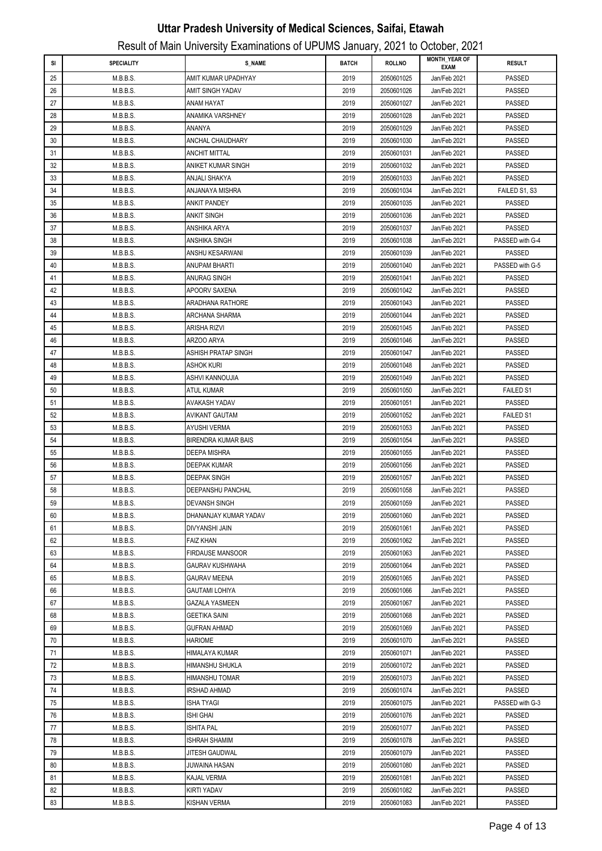| SI       | <b>SPECIALITY</b>    | <b>S_NAME</b>                              | <b>BATCH</b> | <b>ROLLNO</b>            | <b>MONTH_YEAR OF</b>         | <b>RESULT</b>                  |
|----------|----------------------|--------------------------------------------|--------------|--------------------------|------------------------------|--------------------------------|
|          |                      |                                            |              |                          | <b>EXAM</b>                  |                                |
| 25       | M.B.B.S.             | AMIT KUMAR UPADHYAY                        | 2019         | 2050601025               | Jan/Feb 2021                 | PASSED                         |
| 26       | M.B.B.S.             | AMIT SINGH YADAV                           | 2019         | 2050601026               | Jan/Feb 2021                 | PASSED                         |
| 27       | M.B.B.S.             | ANAM HAYAT                                 | 2019         | 2050601027               | Jan/Feb 2021                 | PASSED                         |
| 28       | M.B.B.S.             | ANAMIKA VARSHNEY                           | 2019         | 2050601028               | Jan/Feb 2021                 | PASSED                         |
| 29       | M.B.B.S.             | ANANYA                                     | 2019         | 2050601029               | Jan/Feb 2021                 | <b>PASSED</b>                  |
| 30       | M.B.B.S.             | ANCHAL CHAUDHARY                           | 2019         | 2050601030               | Jan/Feb 2021                 | <b>PASSED</b>                  |
| 31       | M.B.B.S.             | <b>ANCHIT MITTAL</b>                       | 2019         | 2050601031               | Jan/Feb 2021                 | <b>PASSED</b>                  |
| 32       | M.B.B.S.             | ANIKET KUMAR SINGH                         | 2019         | 2050601032               | Jan/Feb 2021                 | <b>PASSED</b>                  |
| 33       | M.B.B.S.             | ANJALI SHAKYA                              | 2019         | 2050601033               | Jan/Feb 2021                 | <b>PASSED</b>                  |
| 34       | M.B.B.S.             | ANJANAYA MISHRA                            | 2019         | 2050601034               | Jan/Feb 2021                 | FAILED S1, S3                  |
| 35       | M.B.B.S.             | ANKIT PANDEY                               | 2019         | 2050601035               | Jan/Feb 2021                 | PASSED                         |
| 36       | M.B.B.S.             | ANKIT SINGH                                | 2019         | 2050601036               | Jan/Feb 2021                 | <b>PASSED</b>                  |
| 37       | M.B.B.S.             | ANSHIKA ARYA                               | 2019         | 2050601037               | Jan/Feb 2021                 | <b>PASSED</b>                  |
| 38       | M.B.B.S.             | ANSHIKA SINGH                              | 2019         | 2050601038               | Jan/Feb 2021                 | PASSED with G-4                |
| 39       | M.B.B.S.             | ANSHU KESARWANI                            | 2019         | 2050601039               | Jan/Feb 2021                 | <b>PASSED</b>                  |
| 40       | M.B.B.S.             | ANUPAM BHARTI                              | 2019         | 2050601040               | Jan/Feb 2021                 | PASSED with G-5                |
| 41       | M.B.B.S.             | ANURAG SINGH                               | 2019         | 2050601041               | Jan/Feb 2021                 | <b>PASSED</b>                  |
| 42       | M.B.B.S.             | APOORV SAXENA                              | 2019         | 2050601042               | Jan/Feb 2021                 | PASSED                         |
| 43       | M.B.B.S.             | <b>ARADHANA RATHORE</b>                    | 2019         | 2050601043               | Jan/Feb 2021                 | PASSED                         |
| 44       | M.B.B.S.             | ARCHANA SHARMA                             | 2019         | 2050601044               | Jan/Feb 2021                 | PASSED                         |
| 45       | M.B.B.S.             | ARISHA RIZVI                               | 2019         | 2050601045               | Jan/Feb 2021                 | PASSED                         |
| 46       | M.B.B.S.             | ARZOO ARYA                                 | 2019         | 2050601046               | Jan/Feb 2021                 | <b>PASSED</b>                  |
| 47       | M.B.B.S.             | ASHISH PRATAP SINGH                        | 2019         | 2050601047               | Jan/Feb 2021                 | <b>PASSED</b>                  |
| 48       | M.B.B.S.             | ASHOK KURI                                 | 2019         | 2050601048               | Jan/Feb 2021                 | <b>PASSED</b>                  |
| 49       | M.B.B.S.             | ASHVI KANNOUJIA                            | 2019         | 2050601049               | Jan/Feb 2021                 | <b>PASSED</b>                  |
| 50       | M.B.B.S.             | ATUL KUMAR                                 | 2019         | 2050601050               | Jan/Feb 2021                 | <b>FAILED S1</b>               |
| 51       | M.B.B.S.             | AVAKASH YADAV                              | 2019         | 2050601051               | Jan/Feb 2021                 | <b>PASSED</b>                  |
| 52       | M.B.B.S.             | AVIKANT GAUTAM                             | 2019         | 2050601052               | Jan/Feb 2021                 | <b>FAILED S1</b>               |
| 53<br>54 | M.B.B.S.             | AYUSHI VERMA                               | 2019         | 2050601053               | Jan/Feb 2021                 | <b>PASSED</b><br><b>PASSED</b> |
| 55       | M.B.B.S.<br>M.B.B.S. | BIRENDRA KUMAR BAIS<br><b>DEEPA MISHRA</b> | 2019<br>2019 | 2050601054<br>2050601055 | Jan/Feb 2021                 | <b>PASSED</b>                  |
| 56       | M.B.B.S.             | DEEPAK KUMAR                               | 2019         | 2050601056               | Jan/Feb 2021                 | <b>PASSED</b>                  |
| 57       | M.B.B.S.             | <b>DEEPAK SINGH</b>                        | 2019         | 2050601057               | Jan/Feb 2021<br>Jan/Feb 2021 | <b>PASSED</b>                  |
| 58       | M.B.B.S.             | DEEPANSHU PANCHAL                          | 2019         | 2050601058               | Jan/Feb 2021                 | <b>PASSED</b>                  |
| 59       | M.B.B.S.             | <b>DEVANSH SINGH</b>                       | 2019         | 2050601059               | Jan/Feb 2021                 | PASSED                         |
| 60       | M.B.B.S.             | DHANANJAY KUMAR YADAV                      | 2019         | 2050601060               | Jan/Feb 2021                 | PASSED                         |
| 61       | M.B.B.S.             | <b>DIVYANSHI JAIN</b>                      | 2019         | 2050601061               | Jan/Feb 2021                 | PASSED                         |
| 62       | M.B.B.S.             | <b>FAIZ KHAN</b>                           | 2019         | 2050601062               | Jan/Feb 2021                 | PASSED                         |
| 63       | M.B.B.S.             | <b>FIRDAUSE MANSOOR</b>                    | 2019         | 2050601063               | Jan/Feb 2021                 | PASSED                         |
| 64       | M.B.B.S.             | GAURAV KUSHWAHA                            | 2019         | 2050601064               | Jan/Feb 2021                 | PASSED                         |
| 65       | M.B.B.S.             | GAURAV MEENA                               | 2019         | 2050601065               | Jan/Feb 2021                 | <b>PASSED</b>                  |
| 66       | M.B.B.S.             | GAUTAMI LOHIYA                             | 2019         | 2050601066               | Jan/Feb 2021                 | <b>PASSED</b>                  |
| 67       | M.B.B.S.             | GAZALA YASMEEN                             | 2019         | 2050601067               | Jan/Feb 2021                 | <b>PASSED</b>                  |
| 68       | M.B.B.S.             | GEETIKA SAINI                              | 2019         | 2050601068               | Jan/Feb 2021                 | <b>PASSED</b>                  |
| 69       | M.B.B.S.             | GUFRAN AHMAD                               | 2019         | 2050601069               | Jan/Feb 2021                 | PASSED                         |
| 70       | M.B.B.S.             | HARIOME                                    | 2019         | 2050601070               | Jan/Feb 2021                 | <b>PASSED</b>                  |
| 71       | M.B.B.S.             | HIMALAYA KUMAR                             | 2019         | 2050601071               | Jan/Feb 2021                 | PASSED                         |
| 72       | M.B.B.S.             | HIMANSHU SHUKLA                            | 2019         | 2050601072               | Jan/Feb 2021                 | <b>PASSED</b>                  |
| 73       | M.B.B.S.             | HIMANSHU TOMAR                             | 2019         | 2050601073               | Jan/Feb 2021                 | <b>PASSED</b>                  |
| 74       | M.B.B.S.             | IRSHAD AHMAD                               | 2019         | 2050601074               | Jan/Feb 2021                 | <b>PASSED</b>                  |
| 75       | M.B.B.S.             | ISHA TYAGI                                 | 2019         | 2050601075               | Jan/Feb 2021                 | PASSED with G-3                |
| 76       | M.B.B.S.             | ISHI GHAI                                  | 2019         | 2050601076               | Jan/Feb 2021                 | PASSED                         |
| 77       | M.B.B.S.             | ISHITA PAL                                 | 2019         | 2050601077               | Jan/Feb 2021                 | PASSED                         |
| 78       | M.B.B.S.             | ISHRAH SHAMIM                              | 2019         | 2050601078               | Jan/Feb 2021                 | PASSED                         |
| 79       | M.B.B.S.             | JITESH GAUDWAL                             | 2019         | 2050601079               | Jan/Feb 2021                 | <b>PASSED</b>                  |
| 80       | M.B.B.S.             | JUWAINA HASAN                              | 2019         | 2050601080               | Jan/Feb 2021                 | <b>PASSED</b>                  |
| 81       | M.B.B.S.             | KAJAL VERMA                                | 2019         | 2050601081               | Jan/Feb 2021                 | <b>PASSED</b>                  |
| 82       | M.B.B.S.             | KIRTI YADAV                                | 2019         | 2050601082               | Jan/Feb 2021                 | <b>PASSED</b>                  |
| 83       | M.B.B.S.             | KISHAN VERMA                               | 2019         | 2050601083               | Jan/Feb 2021                 | PASSED                         |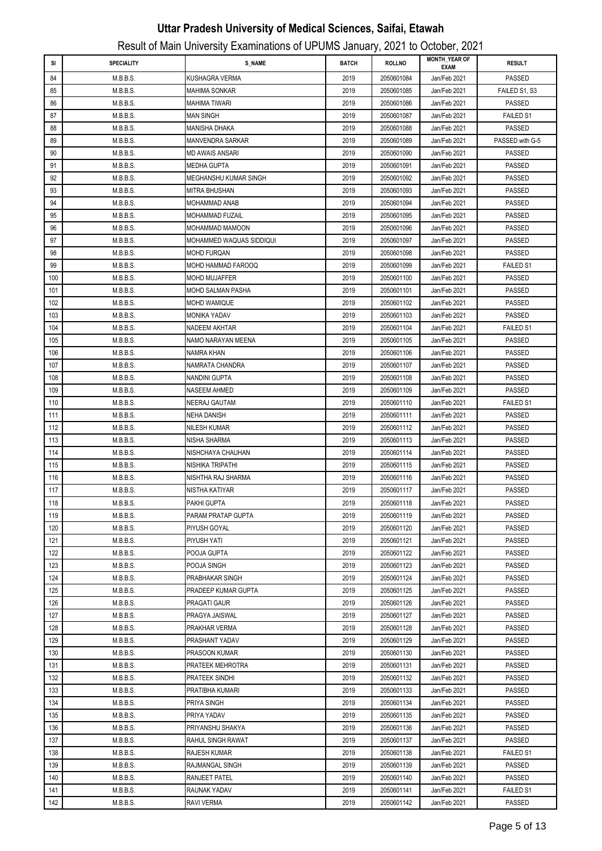|     |                   |                          |              | ,,            | <b>MONTH_YEAR OF</b> |                  |
|-----|-------------------|--------------------------|--------------|---------------|----------------------|------------------|
| SI  | <b>SPECIALITY</b> | <b>S_NAME</b>            | <b>BATCH</b> | <b>ROLLNO</b> | <b>EXAM</b>          | <b>RESULT</b>    |
| 84  | M.B.B.S.          | KUSHAGRA VERMA           | 2019         | 2050601084    | Jan/Feb 2021         | PASSED           |
| 85  | M.B.B.S.          | <b>MAHIMA SONKAR</b>     | 2019         | 2050601085    | Jan/Feb 2021         | FAILED S1, S3    |
| 86  | M.B.B.S.          | <b>MAHIMA TIWARI</b>     | 2019         | 2050601086    | Jan/Feb 2021         | <b>PASSED</b>    |
| 87  | M.B.B.S.          | <b>MAN SINGH</b>         | 2019         | 2050601087    | Jan/Feb 2021         | FAILED S1        |
| 88  | M.B.B.S.          | <b>MANISHA DHAKA</b>     | 2019         | 2050601088    | Jan/Feb 2021         | <b>PASSED</b>    |
| 89  | M.B.B.S.          | <b>MANVENDRA SARKAR</b>  | 2019         | 2050601089    | Jan/Feb 2021         | PASSED with G-5  |
| 90  | M.B.B.S.          | MD AWAIS ANSARI          | 2019         | 2050601090    | Jan/Feb 2021         | <b>PASSED</b>    |
| 91  | M.B.B.S.          | MEDHA GUPTA              | 2019         | 2050601091    | Jan/Feb 2021         | <b>PASSED</b>    |
| 92  | M.B.B.S.          | MEGHANSHU KUMAR SINGH    | 2019         | 2050601092    | Jan/Feb 2021         | <b>PASSED</b>    |
| 93  | M.B.B.S.          | MITRA BHUSHAN            | 2019         | 2050601093    | Jan/Feb 2021         | <b>PASSED</b>    |
| 94  | M.B.B.S.          | MOHAMMAD ANAB            | 2019         | 2050601094    | Jan/Feb 2021         | <b>PASSED</b>    |
| 95  | M.B.B.S.          | MOHAMMAD FUZAIL          | 2019         | 2050601095    | Jan/Feb 2021         | <b>PASSED</b>    |
| 96  | M.B.B.S.          | MOHAMMAD MAMOON          | 2019         | 2050601096    | Jan/Feb 2021         | PASSED           |
| 97  | M.B.B.S.          | MOHAMMED WAQUAS SIDDIQUI | 2019         | 2050601097    | Jan/Feb 2021         | <b>PASSED</b>    |
| 98  | M.B.B.S.          | MOHD FURQAN              | 2019         | 2050601098    | Jan/Feb 2021         | <b>PASSED</b>    |
| 99  | M.B.B.S.          | MOHD HAMMAD FAROOQ       | 2019         | 2050601099    | Jan/Feb 2021         | <b>FAILED S1</b> |
| 100 | M.B.B.S.          | <b>MOHD MUJAFFER</b>     | 2019         | 2050601100    | Jan/Feb 2021         | <b>PASSED</b>    |
| 101 | M.B.B.S.          | MOHD SALMAN PASHA        | 2019         | 2050601101    | Jan/Feb 2021         | PASSED           |
| 102 | M.B.B.S.          | MOHD WAMIQUE             | 2019         | 2050601102    | Jan/Feb 2021         | PASSED           |
| 103 | M.B.B.S.          | <b>MONIKA YADAV</b>      | 2019         | 2050601103    | Jan/Feb 2021         | <b>PASSED</b>    |
| 104 | M.B.B.S.          | NADEEM AKHTAR            | 2019         | 2050601104    | Jan/Feb 2021         | <b>FAILED S1</b> |
| 105 | M.B.B.S.          | NAMO NARAYAN MEENA       | 2019         | 2050601105    | Jan/Feb 2021         | <b>PASSED</b>    |
| 106 | M.B.B.S.          | NAMRA KHAN               | 2019         | 2050601106    | Jan/Feb 2021         | <b>PASSED</b>    |
| 107 | M.B.B.S.          | NAMRATA CHANDRA          | 2019         | 2050601107    | Jan/Feb 2021         | <b>PASSED</b>    |
| 108 | M.B.B.S.          | NANDINI GUPTA            | 2019         | 2050601108    | Jan/Feb 2021         | <b>PASSED</b>    |
| 109 | M.B.B.S.          | NASEEM AHMED             | 2019         | 2050601109    | Jan/Feb 2021         | PASSED           |
|     |                   |                          |              |               |                      |                  |
| 110 | M.B.B.S.          | NEERAJ GAUTAM            | 2019         | 2050601110    | Jan/Feb 2021         | <b>FAILED S1</b> |
| 111 | M.B.B.S.          | NEHA DANISH              | 2019         | 2050601111    | Jan/Feb 2021         | PASSED           |
| 112 | M.B.B.S.          | NILESH KUMAR             | 2019         | 2050601112    | Jan/Feb 2021         | PASSED           |
| 113 | M.B.B.S.          | NISHA SHARMA             | 2019         | 2050601113    | Jan/Feb 2021         | <b>PASSED</b>    |
| 114 | M.B.B.S.          | NISHCHAYA CHAUHAN        | 2019         | 2050601114    | Jan/Feb 2021         | <b>PASSED</b>    |
| 115 | M.B.B.S.          | NISHIKA TRIPATHI         | 2019         | 2050601115    | Jan/Feb 2021         | <b>PASSED</b>    |
| 116 | M.B.B.S.          | NISHTHA RAJ SHARMA       | 2019         | 2050601116    | Jan/Feb 2021         | <b>PASSED</b>    |
| 117 | M.B.B.S.          | NISTHA KATIYAR           | 2019         | 2050601117    | Jan/Feb 2021         | PASSED           |
| 118 | M.B.B.S.          | PAKHI GUPTA              | 2019         | 2050601118    | Jan/Feb 2021         | PASSED           |
| 119 | M.B.B.S.          | PARAM PRATAP GUPTA       | 2019         | 2050601119    | Jan/Feb 2021         | <b>PASSED</b>    |
| 120 | M.B.B.S.          | <b>PIYUSH GOYAL</b>      | 2019         | 2050601120    | Jan/Feb 2021         | PASSED           |
| 121 | M.B.B.S.          | PIYUSH YATI              | 2019         | 2050601121    | Jan/Feb 2021         | PASSED           |
| 122 | M.B.B.S.          | POOJA GUPTA              | 2019         | 2050601122    | Jan/Feb 2021         | PASSED           |
| 123 | M.B.B.S.          | POOJA SINGH              | 2019         | 2050601123    | Jan/Feb 2021         | <b>PASSED</b>    |
| 124 | M.B.B.S.          | PRABHAKAR SINGH          | 2019         | 2050601124    | Jan/Feb 2021         | <b>PASSED</b>    |
| 125 | M.B.B.S.          | PRADEEP KUMAR GUPTA      | 2019         | 2050601125    | Jan/Feb 2021         | <b>PASSED</b>    |
| 126 | M.B.B.S.          | PRAGATI GAUR             | 2019         | 2050601126    | Jan/Feb 2021         | <b>PASSED</b>    |
| 127 | M.B.B.S.          | PRAGYA JAISWAL           | 2019         | 2050601127    | Jan/Feb 2021         | PASSED           |
| 128 | M.B.B.S.          | PRAKHAR VERMA            | 2019         | 2050601128    | Jan/Feb 2021         | PASSED           |
| 129 | M.B.B.S.          | PRASHANT YADAV           | 2019         | 2050601129    | Jan/Feb 2021         | PASSED           |
| 130 | M.B.B.S.          | PRASOON KUMAR            | 2019         | 2050601130    | Jan/Feb 2021         | <b>PASSED</b>    |
| 131 | M.B.B.S.          | PRATEEK MEHROTRA         | 2019         | 2050601131    | Jan/Feb 2021         | <b>PASSED</b>    |
| 132 | M.B.B.S.          | PRATEEK SINDHI           | 2019         | 2050601132    | Jan/Feb 2021         | PASSED           |
| 133 | M.B.B.S.          | PRATIBHA KUMARI          | 2019         | 2050601133    | Jan/Feb 2021         | PASSED           |
| 134 | M.B.B.S.          | PRIYA SINGH              | 2019         | 2050601134    | Jan/Feb 2021         | PASSED           |
| 135 | M.B.B.S.          | PRIYA YADAV              | 2019         | 2050601135    | Jan/Feb 2021         | PASSED           |
| 136 | M.B.B.S.          | PRIYANSHU SHAKYA         | 2019         | 2050601136    | Jan/Feb 2021         | PASSED           |
| 137 | M.B.B.S.          | RAHUL SINGH RAWAT        | 2019         | 2050601137    | Jan/Feb 2021         | <b>PASSED</b>    |
| 138 | M.B.B.S.          | <b>RAJESH KUMAR</b>      | 2019         | 2050601138    | Jan/Feb 2021         | FAILED S1        |
| 139 | M.B.B.S.          | RAJMANGAL SINGH          | 2019         | 2050601139    | Jan/Feb 2021         | PASSED           |
| 140 | M.B.B.S.          | RANJEET PATEL            | 2019         | 2050601140    | Jan/Feb 2021         | <b>PASSED</b>    |
| 141 | M.B.B.S.          | RAUNAK YADAV             | 2019         | 2050601141    | Jan/Feb 2021         | <b>FAILED S1</b> |
| 142 | M.B.B.S.          | RAVI VERMA               | 2019         | 2050601142    | Jan/Feb 2021         | <b>PASSED</b>    |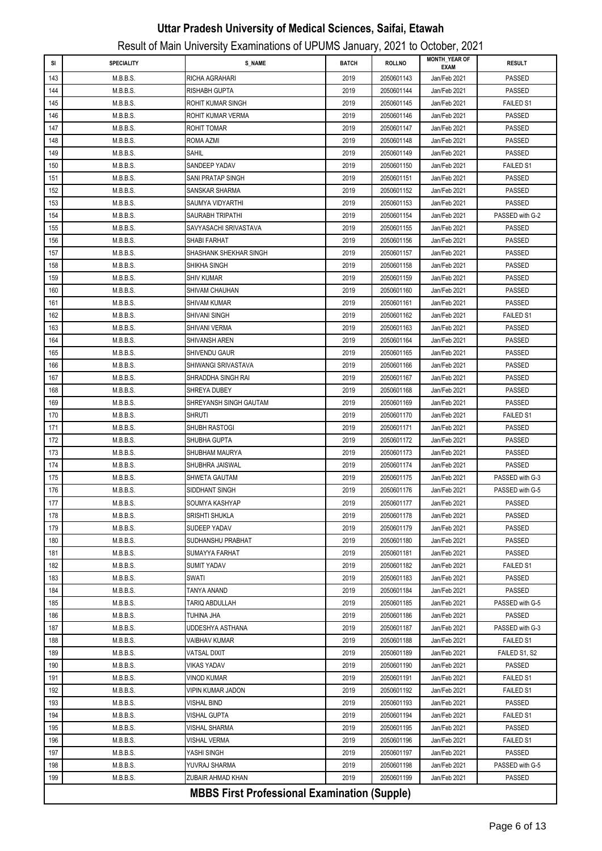| SI         | <b>SPECIALITY</b>    | <b>S_NAME</b>                                       | <b>BATCH</b> | ,,<br><b>ROLLNO</b>      | <b>MONTH YEAR OF</b>         | <b>RESULT</b>                    |
|------------|----------------------|-----------------------------------------------------|--------------|--------------------------|------------------------------|----------------------------------|
| 143        | M.B.B.S.             | RICHA AGRAHARI                                      | 2019         | 2050601143               | <b>EXAM</b><br>Jan/Feb 2021  | PASSED                           |
| 144        | M.B.B.S.             | RISHABH GUPTA                                       | 2019         | 2050601144               | Jan/Feb 2021                 | <b>PASSED</b>                    |
| 145        | M.B.B.S.             | ROHIT KUMAR SINGH                                   | 2019         | 2050601145               | Jan/Feb 2021                 | <b>FAILED S1</b>                 |
| 146        | M.B.B.S.             | ROHIT KUMAR VERMA                                   | 2019         | 2050601146               | Jan/Feb 2021                 | <b>PASSED</b>                    |
| 147        | M.B.B.S.             | ROHIT TOMAR                                         | 2019         | 2050601147               | Jan/Feb 2021                 | <b>PASSED</b>                    |
| 148        | M.B.B.S.             | ROMA AZMI                                           | 2019         | 2050601148               | Jan/Feb 2021                 | <b>PASSED</b>                    |
| 149        | M.B.B.S.             | SAHIL                                               | 2019         | 2050601149               | Jan/Feb 2021                 | <b>PASSED</b>                    |
| 150        | M.B.B.S.             | SANDEEP YADAV                                       | 2019         | 2050601150               | Jan/Feb 2021                 | <b>FAILED S1</b>                 |
| 151        | M.B.B.S.             | SANI PRATAP SINGH                                   | 2019         | 2050601151               | Jan/Feb 2021                 | PASSED                           |
| 152        | M.B.B.S.             | SANSKAR SHARMA                                      | 2019         | 2050601152               | Jan/Feb 2021                 | <b>PASSED</b>                    |
| 153        | M.B.B.S.             | SAUMYA VIDYARTHI                                    | 2019         | 2050601153               | Jan/Feb 2021                 | <b>PASSED</b>                    |
| 154        | M.B.B.S.             | SAURABH TRIPATHI                                    | 2019         | 2050601154               | Jan/Feb 2021                 | PASSED with G-2                  |
| 155        | M.B.B.S.             | SAVYASACHI SRIVASTAVA                               | 2019         | 2050601155               | Jan/Feb 2021                 | <b>PASSED</b>                    |
| 156        | M.B.B.S.             | SHABI FARHAT                                        | 2019         | 2050601156               | Jan/Feb 2021                 | <b>PASSED</b>                    |
| 157        | M.B.B.S.             | SHASHANK SHEKHAR SINGH                              | 2019         | 2050601157               | Jan/Feb 2021                 | <b>PASSED</b>                    |
| 158        | M.B.B.S.             | SHIKHA SINGH                                        | 2019         | 2050601158               | Jan/Feb 2021                 | <b>PASSED</b>                    |
| 159        | M.B.B.S.             | SHIV KUMAR                                          | 2019         | 2050601159               | Jan/Feb 2021                 | PASSED                           |
| 160        | M.B.B.S.             | SHIVAM CHAUHAN                                      | 2019         | 2050601160               | Jan/Feb 2021                 | PASSED                           |
| 161        | M.B.B.S.             | SHIVAM KUMAR                                        | 2019         | 2050601161               | Jan/Feb 2021                 | <b>PASSED</b>                    |
| 162        | M.B.B.S.             | SHIVANI SINGH                                       | 2019         | 2050601162               | Jan/Feb 2021                 | <b>FAILED S1</b>                 |
| 163        | M.B.B.S.             | SHIVANI VERMA                                       | 2019         | 2050601163               | Jan/Feb 2021                 | <b>PASSED</b>                    |
| 164        | M.B.B.S.             | SHIVANSH AREN                                       | 2019         | 2050601164               | Jan/Feb 2021                 | <b>PASSED</b>                    |
| 165        | M.B.B.S.             | SHIVENDU GAUR                                       | 2019         | 2050601165               | Jan/Feb 2021                 | <b>PASSED</b>                    |
| 166        | M.B.B.S.             | SHIWANGI SRIVASTAVA                                 | 2019         | 2050601166               | Jan/Feb 2021                 | <b>PASSED</b>                    |
| 167        | M.B.B.S.             | SHRADDHA SINGH RAI                                  | 2019         | 2050601167               | Jan/Feb 2021                 | <b>PASSED</b>                    |
| 168        | M.B.B.S.             | SHREYA DUBEY                                        | 2019         | 2050601168               | Jan/Feb 2021                 | <b>PASSED</b>                    |
| 169        | M.B.B.S.             | SHREYANSH SINGH GAUTAM                              | 2019         | 2050601169               | Jan/Feb 2021                 | PASSED                           |
| 170        | M.B.B.S.             | shruti                                              | 2019         | 2050601170               | Jan/Feb 2021                 | <b>FAILED S1</b>                 |
| 171        | M.B.B.S.             | SHUBH RASTOGI                                       | 2019         | 2050601171               | Jan/Feb 2021                 | <b>PASSED</b>                    |
| 172        | M.B.B.S.             | SHUBHA GUPTA                                        | 2019         | 2050601172               | Jan/Feb 2021                 | <b>PASSED</b>                    |
| 173        | M.B.B.S.             | SHUBHAM MAURYA                                      | 2019         | 2050601173               | Jan/Feb 2021                 | <b>PASSED</b>                    |
| 174        | M.B.B.S.             | SHUBHRA JAISWAL<br>SHWETA GAUTAM                    | 2019<br>2019 | 2050601174<br>2050601175 | Jan/Feb 2021<br>Jan/Feb 2021 | <b>PASSED</b><br>PASSED with G-3 |
| 175<br>176 | M.B.B.S.<br>M.B.B.S. | SIDDHANT SINGH                                      | 2019         | 2050601176               | Jan/Feb 2021                 | PASSED with G-5                  |
| 177        | M.B.B.S.             | SOUMYA KASHYAP                                      | 2019         | 2050601177               | Jan/Feb 2021                 | PASSED                           |
| 178        | M.B.B.S.             | SRISHTI SHUKLA                                      | 2019         | 2050601178               | Jan/Feb 2021                 | <b>PASSED</b>                    |
| 179        | M.B.B.S.             | SUDEEP YADAV                                        | 2019         | 2050601179               | Jan/Feb 2021                 | <b>PASSED</b>                    |
| 180        | M.B.B.S.             | SUDHANSHU PRABHAT                                   | 2019         | 2050601180               | Jan/Feb 2021                 | PASSED                           |
| 181        | M.B.B.S.             | SUMAYYA FARHAT                                      | 2019         | 2050601181               | Jan/Feb 2021                 | PASSED                           |
| 182        | M.B.B.S.             | SUMIT YADAV                                         | 2019         | 2050601182               | Jan/Feb 2021                 | <b>FAILED S1</b>                 |
| 183        | M.B.B.S.             | SWATI                                               | 2019         | 2050601183               | Jan/Feb 2021                 | PASSED                           |
| 184        | M.B.B.S.             | TANYA ANAND                                         | 2019         | 2050601184               | Jan/Feb 2021                 | <b>PASSED</b>                    |
| 185        | M.B.B.S.             | TARIQ ABDULLAH                                      | 2019         | 2050601185               | Jan/Feb 2021                 | PASSED with G-5                  |
| 186        | M.B.B.S.             | TUHINA JHA                                          | 2019         | 2050601186               | Jan/Feb 2021                 | PASSED                           |
| 187        | M.B.B.S.             | UDDESHYA ASTHANA                                    | 2019         | 2050601187               | Jan/Feb 2021                 | PASSED with G-3                  |
| 188        | M.B.B.S.             | VAIBHAV KUMAR                                       | 2019         | 2050601188               | Jan/Feb 2021                 | <b>FAILED S1</b>                 |
| 189        | M.B.B.S.             | VATSAL DIXIT                                        | 2019         | 2050601189               | Jan/Feb 2021                 | FAILED S1, S2                    |
| 190        | M.B.B.S.             | VIKAS YADAV                                         | 2019         | 2050601190               | Jan/Feb 2021                 | PASSED                           |
| 191        | M.B.B.S.             | VINOD KUMAR                                         | 2019         | 2050601191               | Jan/Feb 2021                 | <b>FAILED S1</b>                 |
| 192        | M.B.B.S.             | VIPIN KUMAR JADON                                   | 2019         | 2050601192               | Jan/Feb 2021                 | <b>FAILED S1</b>                 |
| 193        | M.B.B.S.             | VISHAL BIND                                         | 2019         | 2050601193               | Jan/Feb 2021                 | PASSED                           |
| 194        | M.B.B.S.             | VISHAL GUPTA                                        | 2019         | 2050601194               | Jan/Feb 2021                 | <b>FAILED S1</b>                 |
| 195        | M.B.B.S.             | VISHAL SHARMA                                       | 2019         | 2050601195               | Jan/Feb 2021                 | PASSED                           |
| 196        | M.B.B.S.             | VISHAL VERMA                                        | 2019         | 2050601196               | Jan/Feb 2021                 | FAILED S1                        |
| 197        | M.B.B.S.             | YASHI SINGH                                         | 2019         | 2050601197               | Jan/Feb 2021                 | <b>PASSED</b>                    |
| 198        | M.B.B.S.             | YUVRAJ SHARMA                                       | 2019         | 2050601198               | Jan/Feb 2021                 | PASSED with G-5                  |
| 199        | M.B.B.S.             | ZUBAIR AHMAD KHAN                                   | 2019         | 2050601199               | Jan/Feb 2021                 | PASSED                           |
|            |                      | <b>MBBS First Professional Examination (Supple)</b> |              |                          |                              |                                  |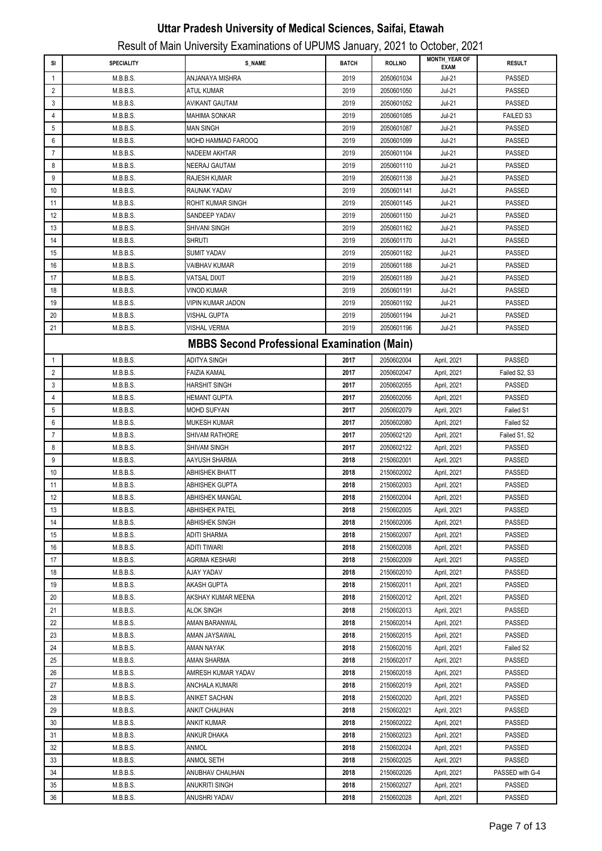| SI             | SPECIALITY | <b>S_NAME</b>                                      | <b>BATCH</b> | <b>ROLLNO</b> | <b>MONTH_YEAR OF</b><br><b>EXAM</b> | <b>RESULT</b>    |
|----------------|------------|----------------------------------------------------|--------------|---------------|-------------------------------------|------------------|
| 1              | M.B.B.S.   | ANJANAYA MISHRA                                    | 2019         | 2050601034    | $Jul-21$                            | <b>PASSED</b>    |
| 2              | M.B.B.S.   | <b>ATUL KUMAR</b>                                  | 2019         | 2050601050    | <b>Jul-21</b>                       | <b>PASSED</b>    |
| 3              | M.B.B.S.   | AVIKANT GAUTAM                                     | 2019         | 2050601052    | <b>Jul-21</b>                       | <b>PASSED</b>    |
| 4              | M.B.B.S.   | <b>MAHIMA SONKAR</b>                               | 2019         | 2050601085    | <b>Jul-21</b>                       | <b>FAILED S3</b> |
| 5              | M.B.B.S.   | <b>MAN SINGH</b>                                   | 2019         | 2050601087    | <b>Jul-21</b>                       | <b>PASSED</b>    |
| 6              | M.B.B.S.   | MOHD HAMMAD FAROOQ                                 | 2019         | 2050601099    | <b>Jul-21</b>                       | <b>PASSED</b>    |
| 7              | M.B.B.S.   | NADEEM AKHTAR                                      | 2019         | 2050601104    | <b>Jul-21</b>                       | <b>PASSED</b>    |
| 8              | M.B.B.S.   | <b>NEERAJ GAUTAM</b>                               | 2019         | 2050601110    | <b>Jul-21</b>                       | PASSED           |
| 9              | M.B.B.S.   | RAJESH KUMAR                                       | 2019         | 2050601138    | Jul-21                              | PASSED           |
| 10             | M.B.B.S.   | RAUNAK YADAV                                       | 2019         | 2050601141    | <b>Jul-21</b>                       | PASSED           |
| 11             | M.B.B.S.   | ROHIT KUMAR SINGH                                  | 2019         | 2050601145    | <b>Jul-21</b>                       | PASSED           |
| 12             | M.B.B.S.   | SANDEEP YADAV                                      | 2019         | 2050601150    | <b>Jul-21</b>                       | PASSED           |
| 13             | M.B.B.S.   | SHIVANI SINGH                                      | 2019         | 2050601162    | <b>Jul-21</b>                       | <b>PASSED</b>    |
| 14             | M.B.B.S.   | <b>SHRUTI</b>                                      | 2019         | 2050601170    | <b>Jul-21</b>                       | <b>PASSED</b>    |
| 15             | M.B.B.S.   | <b>SUMIT YADAV</b>                                 | 2019         | 2050601182    | <b>Jul-21</b>                       | <b>PASSED</b>    |
| 16             | M.B.B.S.   | <b>VAIBHAV KUMAR</b>                               | 2019         | 2050601188    | <b>Jul-21</b>                       | <b>PASSED</b>    |
| 17             | M.B.B.S.   | VATSAL DIXIT                                       | 2019         | 2050601189    | <b>Jul-21</b>                       | <b>PASSED</b>    |
| 18             | M.B.B.S.   | VINOD KUMAR                                        | 2019         | 2050601191    | <b>Jul-21</b>                       | <b>PASSED</b>    |
| 19             | M.B.B.S.   | VIPIN KUMAR JADON                                  | 2019         | 2050601192    | <b>Jul-21</b>                       | <b>PASSED</b>    |
| 20             | M.B.B.S.   | VISHAL GUPTA                                       | 2019         | 2050601194    | <b>Jul-21</b>                       | PASSED           |
| 21             | M.B.B.S.   | VISHAL VERMA                                       | 2019         | 2050601196    | <b>Jul-21</b>                       | <b>PASSED</b>    |
|                |            | <b>MBBS Second Professional Examination (Main)</b> |              |               |                                     |                  |
|                |            |                                                    |              |               |                                     |                  |
| 1              | M.B.B.S.   | <b>ADITYA SINGH</b>                                | 2017         | 2050602004    | April, 2021                         | <b>PASSED</b>    |
| 2              | M.B.B.S.   | FAIZIA KAMAL                                       | 2017         | 2050602047    | April, 2021                         | Failed S2, S3    |
| 3              | M.B.B.S.   | HARSHIT SINGH                                      | 2017         | 2050602055    | April, 2021                         | <b>PASSED</b>    |
| 4              | M.B.B.S.   | HEMANT GUPTA                                       | 2017         | 2050602056    | April, 2021                         | PASSED           |
| 5              | M.B.B.S.   | <b>MOHD SUFYAN</b>                                 | 2017         | 2050602079    | April, 2021                         | Failed S1        |
| 6              | M.B.B.S.   | <b>MUKESH KUMAR</b>                                | 2017         | 2050602080    | April, 2021                         | Failed S2        |
| $\overline{7}$ | M.B.B.S.   | SHIVAM RATHORE                                     | 2017         | 2050602120    | April, 2021                         | Failed S1, S2    |
| 8              | M.B.B.S.   | SHIVAM SINGH                                       | 2017         | 2050602122    | April, 2021                         | <b>PASSED</b>    |
| 9              | M.B.B.S.   | AAYUSH SHARMA                                      | 2018         | 2150602001    | April, 2021                         | <b>PASSED</b>    |
| 10             | M.B.B.S.   | ABHISHEK BHATT                                     | 2018         | 2150602002    | April, 2021                         | <b>PASSED</b>    |
| 11             | M.B.B.S.   | ABHISHEK GUPTA                                     | 2018         | 2150602003    | April, 2021                         | PASSED           |
| 12             | M.B.B.S.   | <b>ABHISHEK MANGAL</b>                             | 2018         | 2150602004    | April, 2021                         | PASSED           |
| 13             | M.B.B.S.   | <b>ABHISHEK PATEL</b>                              | 2018         | 2150602005    | April, 2021                         | PASSED           |
| 14             | M.B.B.S.   | ABHISHEK SINGH                                     | 2018         | 2150602006    | April, 2021                         | PASSED           |
| 15             | M.B.B.S.   | ADITI SHARMA                                       | 2018         | 2150602007    | April, 2021                         | PASSED           |
| 16             | M.B.B.S.   | ADITI TIWARI                                       | 2018         | 2150602008    | April, 2021                         | PASSED           |
| 17             | M.B.B.S.   | AGRIMA KESHARI                                     | 2018         | 2150602009    | April, 2021                         | PASSED           |
| 18             | M.B.B.S.   | AJAY YADAV                                         | 2018         | 2150602010    | April, 2021                         | PASSED           |
| 19             | M.B.B.S.   | AKASH GUPTA                                        | 2018         | 2150602011    | April, 2021                         | PASSED           |
| 20             | M.B.B.S.   | AKSHAY KUMAR MEENA                                 | 2018         | 2150602012    | April, 2021                         | PASSED           |
| 21             | M.B.B.S.   | <b>ALOK SINGH</b>                                  | 2018         | 2150602013    | April, 2021                         | PASSED           |
| 22             | M.B.B.S.   | AMAN BARANWAL                                      | 2018         | 2150602014    | April, 2021                         | PASSED           |
| 23             | M.B.B.S.   | AMAN JAYSAWAL                                      | 2018         | 2150602015    | April, 2021                         | PASSED           |
| 24             | M.B.B.S.   | AMAN NAYAK                                         | 2018         | 2150602016    | April, 2021                         | Failed S2        |
| 25             | M.B.B.S.   | AMAN SHARMA                                        | 2018         | 2150602017    | April, 2021                         | PASSED           |
| 26             | M.B.B.S.   | AMRESH KUMAR YADAV                                 | 2018         | 2150602018    | April, 2021                         | PASSED           |
| 27             | M.B.B.S.   | ANCHALA KUMARI                                     | 2018         | 2150602019    | April, 2021                         | PASSED           |
| 28             | M.B.B.S.   | ANIKET SACHAN                                      | 2018         | 2150602020    | April, 2021                         | PASSED           |
| 29             | M.B.B.S.   | <b>ANKIT CHAUHAN</b>                               | 2018         | 2150602021    | April, 2021                         | PASSED           |
| 30             | M.B.B.S.   | ANKIT KUMAR                                        | 2018         | 2150602022    | April, 2021                         | PASSED           |
| 31             | M.B.B.S.   | ANKUR DHAKA                                        | 2018         | 2150602023    | April, 2021                         | PASSED           |
| 32             | M.B.B.S.   | ANMOL                                              | 2018         | 2150602024    | April, 2021                         | PASSED           |
| 33             | M.B.B.S.   | ANMOL SETH                                         | 2018         | 2150602025    | April, 2021                         | PASSED           |
| 34             | M.B.B.S.   | ANUBHAV CHAUHAN                                    | 2018         | 2150602026    | April, 2021                         | PASSED with G-4  |
| 35             | M.B.B.S.   | ANUKRITI SINGH                                     | 2018         | 2150602027    | April, 2021                         | PASSED           |
| 36             | M.B.B.S.   | ANUSHRI YADAV                                      | 2018         | 2150602028    | April, 2021                         | PASSED           |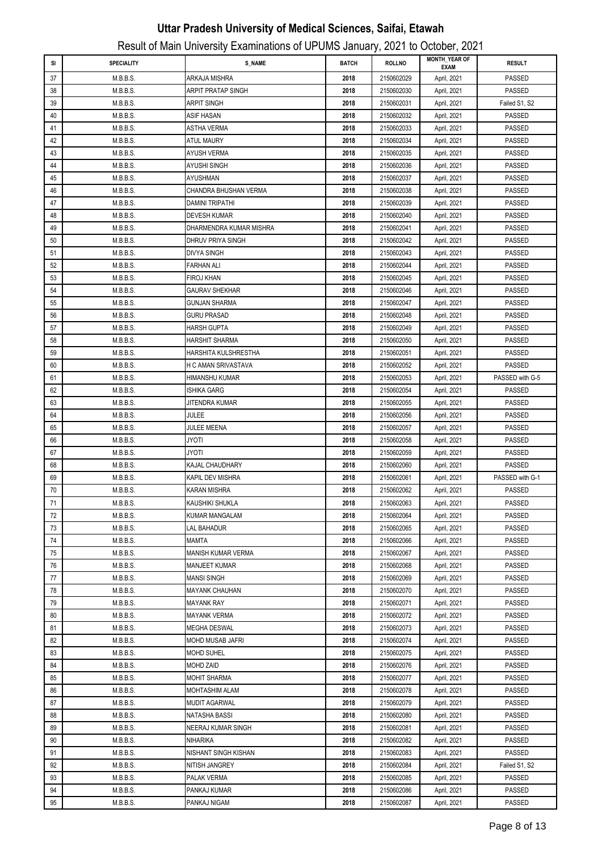| <b>BATCH</b><br><b>ROLLNO</b><br><b>RESULT</b><br>SI<br><b>SPECIALITY</b><br><b>S_NAME</b><br><b>EXAM</b><br>2150602029<br>PASSED<br>37<br>M.B.B.S.<br>ARKAJA MISHRA<br>2018<br>April, 2021<br><b>PASSED</b><br>38<br>M.B.B.S.<br>ARPIT PRATAP SINGH<br>2018<br>2150602030<br>April, 2021<br>39<br>M.B.B.S.<br>2018<br>2150602031<br>April, 2021<br>ARPIT SINGH<br>Failed S1, S2<br>40<br>M.B.B.S.<br>ASIF HASAN<br>2018<br>2150602032<br>April, 2021<br>PASSED<br>41<br>M.B.B.S.<br>2018<br>2150602033<br>April, 2021<br><b>PASSED</b><br>ASTHA VERMA<br>42<br>M.B.B.S.<br>2018<br><b>PASSED</b><br>ATUL MAURY<br>2150602034<br>April, 2021<br>43<br>M.B.B.S.<br>2018<br>PASSED<br>AYUSH VERMA<br>2150602035<br>April, 2021<br>PASSED<br>44<br>M.B.B.S.<br>AYUSHI SINGH<br>2018<br>2150602036<br>April, 2021<br>45<br>M.B.B.S.<br>2018<br>PASSED<br>AYUSHMAN<br>2150602037<br>April, 2021<br>46<br>M.B.B.S.<br>CHANDRA BHUSHAN VERMA<br>2018<br>PASSED<br>2150602038<br>April, 2021<br>47<br>M.B.B.S.<br>2018<br>PASSED<br>DAMINI TRIPATHI<br>2150602039<br>April, 2021<br>48<br>M.B.B.S.<br><b>DEVESH KUMAR</b><br>2018<br>2150602040<br>April, 2021<br>PASSED<br>49<br>PASSED<br>M.B.B.S.<br>DHARMENDRA KUMAR MISHRA<br>2018<br>2150602041<br>April, 2021 |  |
|--------------------------------------------------------------------------------------------------------------------------------------------------------------------------------------------------------------------------------------------------------------------------------------------------------------------------------------------------------------------------------------------------------------------------------------------------------------------------------------------------------------------------------------------------------------------------------------------------------------------------------------------------------------------------------------------------------------------------------------------------------------------------------------------------------------------------------------------------------------------------------------------------------------------------------------------------------------------------------------------------------------------------------------------------------------------------------------------------------------------------------------------------------------------------------------------------------------------------------------------------------------|--|
|                                                                                                                                                                                                                                                                                                                                                                                                                                                                                                                                                                                                                                                                                                                                                                                                                                                                                                                                                                                                                                                                                                                                                                                                                                                              |  |
|                                                                                                                                                                                                                                                                                                                                                                                                                                                                                                                                                                                                                                                                                                                                                                                                                                                                                                                                                                                                                                                                                                                                                                                                                                                              |  |
|                                                                                                                                                                                                                                                                                                                                                                                                                                                                                                                                                                                                                                                                                                                                                                                                                                                                                                                                                                                                                                                                                                                                                                                                                                                              |  |
|                                                                                                                                                                                                                                                                                                                                                                                                                                                                                                                                                                                                                                                                                                                                                                                                                                                                                                                                                                                                                                                                                                                                                                                                                                                              |  |
|                                                                                                                                                                                                                                                                                                                                                                                                                                                                                                                                                                                                                                                                                                                                                                                                                                                                                                                                                                                                                                                                                                                                                                                                                                                              |  |
|                                                                                                                                                                                                                                                                                                                                                                                                                                                                                                                                                                                                                                                                                                                                                                                                                                                                                                                                                                                                                                                                                                                                                                                                                                                              |  |
|                                                                                                                                                                                                                                                                                                                                                                                                                                                                                                                                                                                                                                                                                                                                                                                                                                                                                                                                                                                                                                                                                                                                                                                                                                                              |  |
|                                                                                                                                                                                                                                                                                                                                                                                                                                                                                                                                                                                                                                                                                                                                                                                                                                                                                                                                                                                                                                                                                                                                                                                                                                                              |  |
|                                                                                                                                                                                                                                                                                                                                                                                                                                                                                                                                                                                                                                                                                                                                                                                                                                                                                                                                                                                                                                                                                                                                                                                                                                                              |  |
|                                                                                                                                                                                                                                                                                                                                                                                                                                                                                                                                                                                                                                                                                                                                                                                                                                                                                                                                                                                                                                                                                                                                                                                                                                                              |  |
|                                                                                                                                                                                                                                                                                                                                                                                                                                                                                                                                                                                                                                                                                                                                                                                                                                                                                                                                                                                                                                                                                                                                                                                                                                                              |  |
|                                                                                                                                                                                                                                                                                                                                                                                                                                                                                                                                                                                                                                                                                                                                                                                                                                                                                                                                                                                                                                                                                                                                                                                                                                                              |  |
|                                                                                                                                                                                                                                                                                                                                                                                                                                                                                                                                                                                                                                                                                                                                                                                                                                                                                                                                                                                                                                                                                                                                                                                                                                                              |  |
|                                                                                                                                                                                                                                                                                                                                                                                                                                                                                                                                                                                                                                                                                                                                                                                                                                                                                                                                                                                                                                                                                                                                                                                                                                                              |  |
| 50<br>PASSED<br>M.B.B.S.<br>DHRUV PRIYA SINGH<br>2018<br>2150602042<br>April, 2021                                                                                                                                                                                                                                                                                                                                                                                                                                                                                                                                                                                                                                                                                                                                                                                                                                                                                                                                                                                                                                                                                                                                                                           |  |
| M.B.B.S.<br>PASSED<br>51<br><b>DIVYA SINGH</b><br>2018<br>2150602043<br>April, 2021                                                                                                                                                                                                                                                                                                                                                                                                                                                                                                                                                                                                                                                                                                                                                                                                                                                                                                                                                                                                                                                                                                                                                                          |  |
| 52<br>M.B.B.S.<br>2150602044<br>April, 2021<br>PASSED<br><b>FARHAN ALI</b><br>2018                                                                                                                                                                                                                                                                                                                                                                                                                                                                                                                                                                                                                                                                                                                                                                                                                                                                                                                                                                                                                                                                                                                                                                           |  |
| 53<br>M.B.B.S.<br><b>PASSED</b><br><b>FIROJ KHAN</b><br>2018<br>2150602045<br>April, 2021                                                                                                                                                                                                                                                                                                                                                                                                                                                                                                                                                                                                                                                                                                                                                                                                                                                                                                                                                                                                                                                                                                                                                                    |  |
| PASSED<br>54<br>M.B.B.S.<br><b>GAURAV SHEKHAR</b><br>2018<br>2150602046<br>April, 2021                                                                                                                                                                                                                                                                                                                                                                                                                                                                                                                                                                                                                                                                                                                                                                                                                                                                                                                                                                                                                                                                                                                                                                       |  |
| 55<br>M.B.B.S.<br><b>GUNJAN SHARMA</b><br>2018<br>2150602047<br>April, 2021<br>PASSED                                                                                                                                                                                                                                                                                                                                                                                                                                                                                                                                                                                                                                                                                                                                                                                                                                                                                                                                                                                                                                                                                                                                                                        |  |
| 56<br>M.B.B.S.<br><b>GURU PRASAD</b><br>2018<br>2150602048<br>April, 2021<br>PASSED                                                                                                                                                                                                                                                                                                                                                                                                                                                                                                                                                                                                                                                                                                                                                                                                                                                                                                                                                                                                                                                                                                                                                                          |  |
| 57<br>M.B.B.S.<br><b>HARSH GUPTA</b><br>2018<br>2150602049<br>April, 2021<br>PASSED                                                                                                                                                                                                                                                                                                                                                                                                                                                                                                                                                                                                                                                                                                                                                                                                                                                                                                                                                                                                                                                                                                                                                                          |  |
| 58<br>M.B.B.S.<br><b>HARSHIT SHARMA</b><br>2018<br>2150602050<br>April, 2021<br><b>PASSED</b>                                                                                                                                                                                                                                                                                                                                                                                                                                                                                                                                                                                                                                                                                                                                                                                                                                                                                                                                                                                                                                                                                                                                                                |  |
| 59<br>M.B.B.S.<br>HARSHITA KULSHRESTHA<br>2018<br>2150602051<br>April, 2021<br><b>PASSED</b>                                                                                                                                                                                                                                                                                                                                                                                                                                                                                                                                                                                                                                                                                                                                                                                                                                                                                                                                                                                                                                                                                                                                                                 |  |
| 60<br>M.B.B.S.<br>H C AMAN SRIVASTAVA<br>2018<br>2150602052<br>April, 2021<br>PASSED                                                                                                                                                                                                                                                                                                                                                                                                                                                                                                                                                                                                                                                                                                                                                                                                                                                                                                                                                                                                                                                                                                                                                                         |  |
| 61<br>M.B.B.S.<br>2018<br>April, 2021<br>PASSED with G-5<br>HIMANSHU KUMAR<br>2150602053                                                                                                                                                                                                                                                                                                                                                                                                                                                                                                                                                                                                                                                                                                                                                                                                                                                                                                                                                                                                                                                                                                                                                                     |  |
| 62<br><b>PASSED</b><br>M.B.B.S.<br>ISHIKA GARG<br>2018<br>2150602054<br>April, 2021                                                                                                                                                                                                                                                                                                                                                                                                                                                                                                                                                                                                                                                                                                                                                                                                                                                                                                                                                                                                                                                                                                                                                                          |  |
| 63<br>PASSED<br>M.B.B.S.<br>JITENDRA KUMAR<br>2018<br>2150602055<br>April, 2021                                                                                                                                                                                                                                                                                                                                                                                                                                                                                                                                                                                                                                                                                                                                                                                                                                                                                                                                                                                                                                                                                                                                                                              |  |
| 64<br>M.B.B.S.<br>JULEE<br>2018<br>PASSED<br>2150602056<br>April, 2021                                                                                                                                                                                                                                                                                                                                                                                                                                                                                                                                                                                                                                                                                                                                                                                                                                                                                                                                                                                                                                                                                                                                                                                       |  |
| 65<br>M.B.B.S.<br>JULEE MEENA<br>2018<br>2150602057<br>April, 2021<br>PASSED                                                                                                                                                                                                                                                                                                                                                                                                                                                                                                                                                                                                                                                                                                                                                                                                                                                                                                                                                                                                                                                                                                                                                                                 |  |
| 66<br>PASSED<br>M.B.B.S.<br>JYOTI<br>2018<br>2150602058<br>April, 2021                                                                                                                                                                                                                                                                                                                                                                                                                                                                                                                                                                                                                                                                                                                                                                                                                                                                                                                                                                                                                                                                                                                                                                                       |  |
| 67<br>M.B.B.S.<br>2150602059<br>April, 2021<br>PASSED<br>JYOTI<br>2018                                                                                                                                                                                                                                                                                                                                                                                                                                                                                                                                                                                                                                                                                                                                                                                                                                                                                                                                                                                                                                                                                                                                                                                       |  |
| 68<br>M.B.B.S.<br>KAJAL CHAUDHARY<br>2018<br>2150602060<br>April, 2021<br>PASSED                                                                                                                                                                                                                                                                                                                                                                                                                                                                                                                                                                                                                                                                                                                                                                                                                                                                                                                                                                                                                                                                                                                                                                             |  |
| 69<br>M.B.B.S.<br>April, 2021<br>PASSED with G-1<br><b>KAPIL DEV MISHRA</b><br>2018<br>2150602061<br>PASSED<br>70<br>M.B.B.S.<br><b>KARAN MISHRA</b><br>2018<br>2150602062                                                                                                                                                                                                                                                                                                                                                                                                                                                                                                                                                                                                                                                                                                                                                                                                                                                                                                                                                                                                                                                                                   |  |
| April, 2021<br>$71\,$<br>PASSED<br>M.B.B.S.<br>2150602063<br>KAUSHIKI SHUKLA<br>2018                                                                                                                                                                                                                                                                                                                                                                                                                                                                                                                                                                                                                                                                                                                                                                                                                                                                                                                                                                                                                                                                                                                                                                         |  |
| April, 2021<br>72<br>M.B.B.S.<br>2018<br>2150602064<br>PASSED                                                                                                                                                                                                                                                                                                                                                                                                                                                                                                                                                                                                                                                                                                                                                                                                                                                                                                                                                                                                                                                                                                                                                                                                |  |
| KUMAR MANGALAM<br>April, 2021<br>73<br>M.B.B.S.<br>LAL BAHADUR<br>2018<br>2150602065<br>April, 2021<br>PASSED                                                                                                                                                                                                                                                                                                                                                                                                                                                                                                                                                                                                                                                                                                                                                                                                                                                                                                                                                                                                                                                                                                                                                |  |
| 74<br>M.B.B.S.<br>MAMTA<br>2018<br>2150602066<br>April, 2021<br>PASSED                                                                                                                                                                                                                                                                                                                                                                                                                                                                                                                                                                                                                                                                                                                                                                                                                                                                                                                                                                                                                                                                                                                                                                                       |  |
| 75<br>M.B.B.S.<br>MANISH KUMAR VERMA<br>2018<br>2150602067<br>April, 2021<br>PASSED                                                                                                                                                                                                                                                                                                                                                                                                                                                                                                                                                                                                                                                                                                                                                                                                                                                                                                                                                                                                                                                                                                                                                                          |  |
| 76<br>M.B.B.S.<br><b>MANJEET KUMAR</b><br>2018<br>2150602068<br>April, 2021<br>PASSED                                                                                                                                                                                                                                                                                                                                                                                                                                                                                                                                                                                                                                                                                                                                                                                                                                                                                                                                                                                                                                                                                                                                                                        |  |
| 77<br>M.B.B.S.<br><b>MANSI SINGH</b><br>2018<br>2150602069<br>April, 2021<br>PASSED                                                                                                                                                                                                                                                                                                                                                                                                                                                                                                                                                                                                                                                                                                                                                                                                                                                                                                                                                                                                                                                                                                                                                                          |  |
| 78<br>M.B.B.S.<br>2018<br>April, 2021<br>PASSED<br>MAYANK CHAUHAN<br>2150602070                                                                                                                                                                                                                                                                                                                                                                                                                                                                                                                                                                                                                                                                                                                                                                                                                                                                                                                                                                                                                                                                                                                                                                              |  |
| 79<br>M.B.B.S.<br>2150602071<br><b>PASSED</b><br>MAYANK RAY<br>2018<br>April, 2021                                                                                                                                                                                                                                                                                                                                                                                                                                                                                                                                                                                                                                                                                                                                                                                                                                                                                                                                                                                                                                                                                                                                                                           |  |
| 80<br>M.B.B.S.<br><b>MAYANK VERMA</b><br>2018<br>2150602072<br>April, 2021<br>PASSED                                                                                                                                                                                                                                                                                                                                                                                                                                                                                                                                                                                                                                                                                                                                                                                                                                                                                                                                                                                                                                                                                                                                                                         |  |
| PASSED<br>81<br>M.B.B.S.<br>MEGHA DESWAL<br>2018<br>2150602073<br>April, 2021                                                                                                                                                                                                                                                                                                                                                                                                                                                                                                                                                                                                                                                                                                                                                                                                                                                                                                                                                                                                                                                                                                                                                                                |  |
| PASSED<br>82<br>M.B.B.S.<br>MOHD MUSAB JAFRI<br>2018<br>2150602074<br>April, 2021                                                                                                                                                                                                                                                                                                                                                                                                                                                                                                                                                                                                                                                                                                                                                                                                                                                                                                                                                                                                                                                                                                                                                                            |  |
| PASSED<br>83<br>M.B.B.S.<br>MOHD SUHEL<br>2018<br>2150602075<br>April, 2021                                                                                                                                                                                                                                                                                                                                                                                                                                                                                                                                                                                                                                                                                                                                                                                                                                                                                                                                                                                                                                                                                                                                                                                  |  |
| PASSED<br>84<br>M.B.B.S.<br>MOHD ZAID<br>2018<br>2150602076<br>April, 2021                                                                                                                                                                                                                                                                                                                                                                                                                                                                                                                                                                                                                                                                                                                                                                                                                                                                                                                                                                                                                                                                                                                                                                                   |  |
| M.B.B.S.<br>2150602077<br>PASSED<br>85<br><b>MOHIT SHARMA</b><br>2018<br>April, 2021                                                                                                                                                                                                                                                                                                                                                                                                                                                                                                                                                                                                                                                                                                                                                                                                                                                                                                                                                                                                                                                                                                                                                                         |  |
| PASSED<br>86<br>M.B.B.S.<br>MOHTASHIM ALAM<br>2018<br>2150602078<br>April, 2021                                                                                                                                                                                                                                                                                                                                                                                                                                                                                                                                                                                                                                                                                                                                                                                                                                                                                                                                                                                                                                                                                                                                                                              |  |
| PASSED<br>87<br>M.B.B.S.<br>MUDIT AGARWAL<br>2150602079<br>2018<br>April, 2021                                                                                                                                                                                                                                                                                                                                                                                                                                                                                                                                                                                                                                                                                                                                                                                                                                                                                                                                                                                                                                                                                                                                                                               |  |
| 88<br>M.B.B.S.<br>NATASHA BASSI<br>2018<br>2150602080<br>PASSED<br>April, 2021                                                                                                                                                                                                                                                                                                                                                                                                                                                                                                                                                                                                                                                                                                                                                                                                                                                                                                                                                                                                                                                                                                                                                                               |  |
| 89<br>M.B.B.S.<br>NEERAJ KUMAR SINGH<br>2018<br>2150602081<br>April, 2021<br>PASSED                                                                                                                                                                                                                                                                                                                                                                                                                                                                                                                                                                                                                                                                                                                                                                                                                                                                                                                                                                                                                                                                                                                                                                          |  |
| 90<br>M.B.B.S.<br><b>NIHARIKA</b><br>2018<br>2150602082<br>April, 2021<br>PASSED                                                                                                                                                                                                                                                                                                                                                                                                                                                                                                                                                                                                                                                                                                                                                                                                                                                                                                                                                                                                                                                                                                                                                                             |  |
| 91<br>M.B.B.S.<br>NISHANT SINGH KISHAN<br>2018<br>2150602083<br>April, 2021<br>PASSED                                                                                                                                                                                                                                                                                                                                                                                                                                                                                                                                                                                                                                                                                                                                                                                                                                                                                                                                                                                                                                                                                                                                                                        |  |
| 92<br>M.B.B.S.<br>2018<br>2150602084<br>April, 2021<br>Failed S1, S2<br>NITISH JANGREY                                                                                                                                                                                                                                                                                                                                                                                                                                                                                                                                                                                                                                                                                                                                                                                                                                                                                                                                                                                                                                                                                                                                                                       |  |
| 93<br>PASSED<br>M.B.B.S.<br>PALAK VERMA<br>2018<br>2150602085<br>April, 2021                                                                                                                                                                                                                                                                                                                                                                                                                                                                                                                                                                                                                                                                                                                                                                                                                                                                                                                                                                                                                                                                                                                                                                                 |  |
| 94<br>M.B.B.S.<br>PANKAJ KUMAR<br>2018<br>2150602086<br>PASSED<br>April, 2021                                                                                                                                                                                                                                                                                                                                                                                                                                                                                                                                                                                                                                                                                                                                                                                                                                                                                                                                                                                                                                                                                                                                                                                |  |
| 95<br>M.B.B.S.<br>PANKAJ NIGAM<br>2150602087<br>PASSED<br>2018<br>April, 2021                                                                                                                                                                                                                                                                                                                                                                                                                                                                                                                                                                                                                                                                                                                                                                                                                                                                                                                                                                                                                                                                                                                                                                                |  |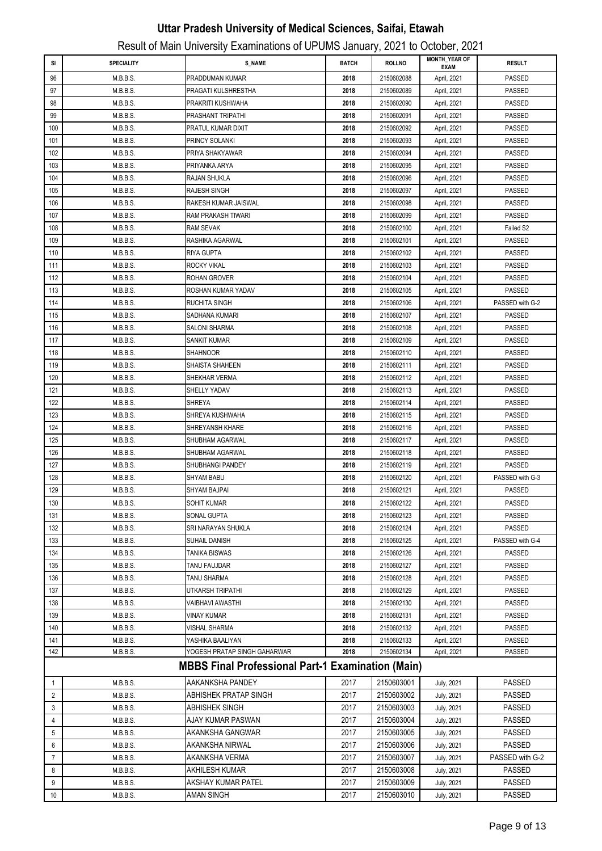|              |                      | Result of Main University Examinations of UPUMS January, 2021 to October, 2021 |              |                          |                                     |                           |
|--------------|----------------------|--------------------------------------------------------------------------------|--------------|--------------------------|-------------------------------------|---------------------------|
| SI           | <b>SPECIALITY</b>    | <b>S NAME</b>                                                                  | <b>BATCH</b> | <b>ROLLNO</b>            | <b>MONTH YEAR OF</b><br><b>EXAM</b> | <b>RESULT</b>             |
| 96           | M.B.B.S.             | PRADDUMAN KUMAR                                                                | 2018         | 2150602088               | April, 2021                         | <b>PASSED</b>             |
| 97           | M.B.B.S.             | PRAGATI KULSHRESTHA                                                            | 2018         | 2150602089               | April, 2021                         | <b>PASSED</b>             |
| 98           | M.B.B.S.             | PRAKRITI KUSHWAHA                                                              | 2018         | 2150602090               | April, 2021                         | PASSED                    |
| 99           | M.B.B.S.             | PRASHANT TRIPATHI                                                              | 2018         | 2150602091               | April, 2021                         | PASSED                    |
| 100          | M.B.B.S.             | PRATUL KUMAR DIXIT                                                             | 2018         | 2150602092               | April, 2021                         | <b>PASSED</b>             |
| 101          | M.B.B.S.             | PRINCY SOLANKI                                                                 | 2018         | 2150602093               | April, 2021                         | <b>PASSED</b>             |
| 102          | M.B.B.S.             | PRIYA SHAKYAWAR                                                                | 2018         | 2150602094               | April, 2021                         | <b>PASSED</b>             |
| 103          | M.B.B.S.             | PRIYANKA ARYA                                                                  | 2018         | 2150602095               | April, 2021                         | <b>PASSED</b>             |
| 104          | M.B.B.S.             | RAJAN SHUKLA                                                                   | 2018         | 2150602096               | April, 2021                         | <b>PASSED</b>             |
| 105          | M.B.B.S.             | <b>RAJESH SINGH</b>                                                            | 2018         | 2150602097               | April, 2021                         | <b>PASSED</b>             |
| 106          | M.B.B.S.             | RAKESH KUMAR JAISWAL                                                           | 2018         | 2150602098               | April, 2021                         | PASSED                    |
| 107          | M.B.B.S.             | RAM PRAKASH TIWARI                                                             | 2018         | 2150602099               | April, 2021                         | PASSED                    |
| 108          | M.B.B.S.             | <b>RAM SEVAK</b>                                                               | 2018         | 2150602100               | April, 2021                         | Failed S2                 |
| 109          | M.B.B.S.             | RASHIKA AGARWAL                                                                | 2018         | 2150602101               | April, 2021                         | <b>PASSED</b>             |
| 110          | M.B.B.S.             | <b>RIYA GUPTA</b>                                                              | 2018         | 2150602102               | April, 2021                         | <b>PASSED</b>             |
| 111          | M.B.B.S.             | ROCKY VIKAL                                                                    | 2018         | 2150602103               | April, 2021                         | <b>PASSED</b>             |
| 112          | M.B.B.S.             | <b>ROHAN GROVER</b>                                                            | 2018         | 2150602104               | April, 2021                         | <b>PASSED</b>             |
| 113          | M.B.B.S.             | ROSHAN KUMAR YADAV                                                             | 2018         | 2150602105               | April, 2021                         | <b>PASSED</b>             |
| 114          | M.B.B.S.             | <b>RUCHITA SINGH</b>                                                           | 2018         | 2150602106               | April, 2021                         | PASSED with G-2           |
| 115          | M.B.B.S.             | SADHANA KUMARI                                                                 | 2018         | 2150602107               | April, 2021                         | PASSED                    |
| 116          | M.B.B.S.             | <b>SALONI SHARMA</b>                                                           | 2018         | 2150602108               | April, 2021                         | <b>PASSED</b>             |
| 117          | M.B.B.S.             | <b>SANKIT KUMAR</b>                                                            | 2018         | 2150602109               | April, 2021                         | <b>PASSED</b>             |
| 118          | M.B.B.S.             | <b>SHAHNOOR</b>                                                                | 2018         | 2150602110               | April, 2021                         | <b>PASSED</b>             |
| 119          | M.B.B.S.             | SHAISTA SHAHEEN                                                                | 2018         | 2150602111               | April, 2021                         | <b>PASSED</b>             |
| 120          | M.B.B.S.             | SHEKHAR VERMA                                                                  | 2018         | 2150602112               | April, 2021                         | <b>PASSED</b>             |
| 121          | M.B.B.S.             | SHELLY YADAV                                                                   | 2018         | 2150602113               | April, 2021                         | <b>PASSED</b>             |
| 122          | M.B.B.S.             | <b>SHREYA</b>                                                                  | 2018         | 2150602114               | April, 2021                         | <b>PASSED</b>             |
| 123          | M.B.B.S.             | SHREYA KUSHWAHA                                                                | 2018         | 2150602115               | April, 2021                         | <b>PASSED</b>             |
| 124          | M.B.B.S.             | SHREYANSH KHARE                                                                | 2018         | 2150602116               | April, 2021                         | <b>PASSED</b>             |
| 125          | M.B.B.S.             | SHUBHAM AGARWAL                                                                | 2018         | 2150602117               | April, 2021                         | PASSED                    |
| 126          | M.B.B.S.             | SHUBHAM AGARWAL                                                                | 2018         | 2150602118               | April, 2021                         | <b>PASSED</b>             |
| 127          | M.B.B.S.             | SHUBHANGI PANDEY                                                               | 2018         | 2150602119               | April, 2021                         | <b>PASSED</b>             |
| 128          | M.B.B.S.             | SHYAM BABU                                                                     | 2018         | 2150602120               | April, 2021                         | PASSED with G-3           |
| 129          | M.B.B.S.             | SHYAM BAJPAI                                                                   | 2018         | 2150602121               | April, 2021                         | <b>PASSED</b>             |
| 130          | M.B.B.S.             | SOHIT KUMAR                                                                    | 2018         | 2150602122               | April, 2021                         | <b>PASSED</b>             |
| 131          | M.B.B.S.             | SONAL GUPTA                                                                    | 2018         | 2150602123<br>2150602124 | April, 2021                         | PASSED                    |
| 132<br>133   | M.B.B.S.             | SRI NARAYAN SHUKLA<br>SUHAIL DANISH                                            | 2018<br>2018 |                          | April, 2021                         | PASSED<br>PASSED with G-4 |
| 134          | M.B.B.S.<br>M.B.B.S. | <b>TANIKA BISWAS</b>                                                           | 2018         | 2150602125<br>2150602126 | April, 2021                         | <b>PASSED</b>             |
| 135          | M.B.B.S.             | TANU FAUJDAR                                                                   | 2018         | 2150602127               | April, 2021<br>April, 2021          | PASSED                    |
| 136          | M.B.B.S.             | <b>TANU SHARMA</b>                                                             | 2018         | 2150602128               | April, 2021                         | PASSED                    |
| 137          | M.B.B.S.             | <b>UTKARSH TRIPATHI</b>                                                        | 2018         | 2150602129               | April, 2021                         | PASSED                    |
| 138          | M.B.B.S.             | VAIBHAVI AWASTHI                                                               | 2018         | 2150602130               | April, 2021                         | PASSED                    |
| 139          | M.B.B.S.             | <b>VINAY KUMAR</b>                                                             | 2018         | 2150602131               | April, 2021                         | <b>PASSED</b>             |
| 140          | M.B.B.S.             | <b>VISHAL SHARMA</b>                                                           | 2018         | 2150602132               | April, 2021                         | PASSED                    |
| 141          | M.B.B.S.             | YASHIKA BAALIYAN                                                               | 2018         | 2150602133               | April, 2021                         | PASSED                    |
| 142          | M.B.B.S.             | YOGESH PRATAP SINGH GAHARWAR                                                   | 2018         | 2150602134               | April, 2021                         | PASSED                    |
|              |                      | <b>MBBS Final Professional Part-1 Examination (Main)</b>                       |              |                          |                                     |                           |
| $\mathbf{1}$ | M.B.B.S.             | AAKANKSHA PANDEY                                                               | 2017         | 2150603001               | July, 2021                          | <b>PASSED</b>             |
| 2            | M.B.B.S.             | ABHISHEK PRATAP SINGH                                                          | 2017         | 2150603002               | July, 2021                          | <b>PASSED</b>             |
| 3            | M.B.B.S.             | ABHISHEK SINGH                                                                 | 2017         | 2150603003               | July, 2021                          | <b>PASSED</b>             |
| 4            | M.B.B.S.             | AJAY KUMAR PASWAN                                                              | 2017         | 2150603004               | July, 2021                          | <b>PASSED</b>             |
| 5            | M.B.B.S.             | AKANKSHA GANGWAR                                                               | 2017         | 2150603005               | July, 2021                          | <b>PASSED</b>             |
| 6            | M.B.B.S.             | AKANKSHA NIRWAL                                                                | 2017         | 2150603006               | July, 2021                          | <b>PASSED</b>             |
| 7            | M.B.B.S.             | AKANKSHA VERMA                                                                 | 2017         | 2150603007               | July, 2021                          | PASSED with G-2           |
| 8            | M.B.B.S.             | AKHILESH KUMAR                                                                 | 2017         | 2150603008               | July, 2021                          | <b>PASSED</b>             |
| 9            | M.B.B.S.             | AKSHAY KUMAR PATEL                                                             | 2017         | 2150603009               | July, 2021                          | <b>PASSED</b>             |
| 10           | M.B.B.S.             | AMAN SINGH                                                                     | 2017         | 2150603010               | July, 2021                          | <b>PASSED</b>             |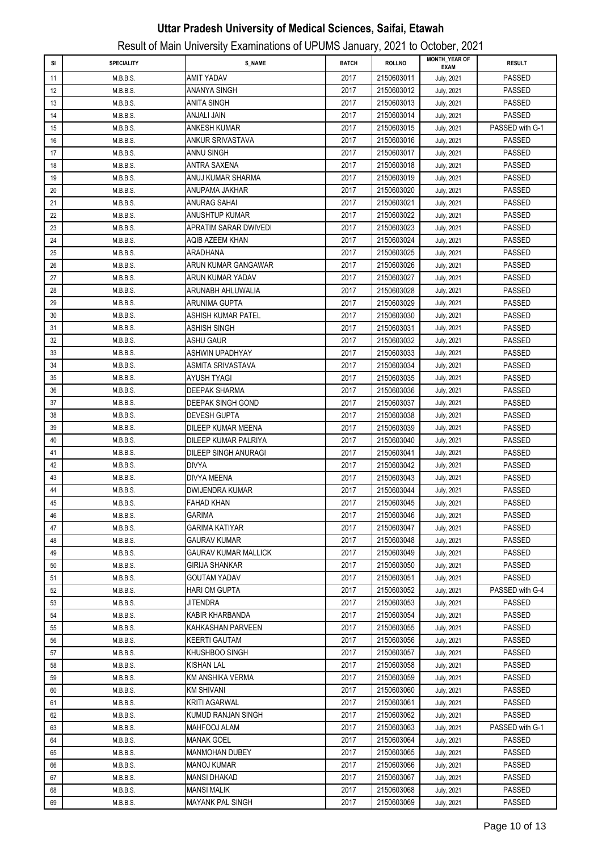|    |                   |                         |              |               | <b>MONTH_YEAR OF</b> |                 |
|----|-------------------|-------------------------|--------------|---------------|----------------------|-----------------|
| SI | <b>SPECIALITY</b> | <b>S_NAME</b>           | <b>BATCH</b> | <b>ROLLNO</b> | <b>EXAM</b>          | <b>RESULT</b>   |
| 11 | M.B.B.S.          | AMIT YADAV              | 2017         | 2150603011    | July, 2021           | PASSED          |
| 12 | M.B.B.S.          | ANANYA SINGH            | 2017         | 2150603012    | July, 2021           | PASSED          |
| 13 | M.B.B.S.          | ANITA SINGH             | 2017         | 2150603013    | July, 2021           | PASSED          |
| 14 | M.B.B.S.          | ANJALI JAIN             | 2017         | 2150603014    | July, 2021           | <b>PASSED</b>   |
| 15 | M.B.B.S.          | ANKESH KUMAR            | 2017         | 2150603015    | July, 2021           | PASSED with G-1 |
| 16 | M.B.B.S.          | ANKUR SRIVASTAVA        | 2017         | 2150603016    | July, 2021           | <b>PASSED</b>   |
| 17 | M.B.B.S.          | ANNU SINGH              | 2017         | 2150603017    | July, 2021           | <b>PASSED</b>   |
| 18 | M.B.B.S.          | ANTRA SAXENA            | 2017         | 2150603018    | July, 2021           | <b>PASSED</b>   |
| 19 | M.B.B.S.          | ANUJ KUMAR SHARMA       | 2017         | 2150603019    | July, 2021           | <b>PASSED</b>   |
| 20 | M.B.B.S.          | ANUPAMA JAKHAR          | 2017         | 2150603020    | July, 2021           | PASSED          |
| 21 | M.B.B.S.          | ANURAG SAHAI            | 2017         | 2150603021    | July, 2021           | PASSED          |
| 22 | M.B.B.S.          | ANUSHTUP KUMAR          | 2017         | 2150603022    | July, 2021           | <b>PASSED</b>   |
| 23 | M.B.B.S.          | APRATIM SARAR DWIVEDI   | 2017         | 2150603023    | July, 2021           | <b>PASSED</b>   |
|    |                   | AQIB AZEEM KHAN         | 2017         | 2150603024    |                      | <b>PASSED</b>   |
| 24 | M.B.B.S.          | <b>ARADHANA</b>         |              |               | July, 2021           | PASSED          |
| 25 | M.B.B.S.          | ARUN KUMAR GANGAWAR     | 2017         | 2150603025    | July, 2021           |                 |
| 26 | M.B.B.S.          |                         | 2017         | 2150603026    | July, 2021           | PASSED          |
| 27 | M.B.B.S.          | ARUN KUMAR YADAV        | 2017         | 2150603027    | July, 2021           | PASSED          |
| 28 | M.B.B.S.          | ARUNABH AHLUWALIA       | 2017         | 2150603028    | July, 2021           | PASSED          |
| 29 | M.B.B.S.          | ARUNIMA GUPTA           | 2017         | 2150603029    | July, 2021           | <b>PASSED</b>   |
| 30 | M.B.B.S.          | ASHISH KUMAR PATEL      | 2017         | 2150603030    | July, 2021           | <b>PASSED</b>   |
| 31 | M.B.B.S.          | ASHISH SINGH            | 2017         | 2150603031    | July, 2021           | <b>PASSED</b>   |
| 32 | M.B.B.S.          | ASHU GAUR               | 2017         | 2150603032    | July, 2021           | <b>PASSED</b>   |
| 33 | M.B.B.S.          | ASHWIN UPADHYAY         | 2017         | 2150603033    | July, 2021           | <b>PASSED</b>   |
| 34 | M.B.B.S.          | ASMITA SRIVASTAVA       | 2017         | 2150603034    | July, 2021           | <b>PASSED</b>   |
| 35 | M.B.B.S.          | AYUSH TYAGI             | 2017         | 2150603035    | July, 2021           | <b>PASSED</b>   |
| 36 | M.B.B.S.          | DEEPAK SHARMA           | 2017         | 2150603036    | July, 2021           | PASSED          |
| 37 | M.B.B.S.          | DEEPAK SINGH GOND       | 2017         | 2150603037    | July, 2021           | PASSED          |
| 38 | M.B.B.S.          | DEVESH GUPTA            | 2017         | 2150603038    | July, 2021           | <b>PASSED</b>   |
| 39 | M.B.B.S.          | DILEEP KUMAR MEENA      | 2017         | 2150603039    | July, 2021           | <b>PASSED</b>   |
| 40 | M.B.B.S.          | DILEEP KUMAR PALRIYA    | 2017         | 2150603040    | July, 2021           | <b>PASSED</b>   |
| 41 | M.B.B.S.          | DILEEP SINGH ANURAGI    | 2017         | 2150603041    | July, 2021           | PASSED          |
| 42 | M.B.B.S.          | <b>DIVYA</b>            | 2017         | 2150603042    | July, 2021           | PASSED          |
| 43 | M.B.B.S.          | <b>DIVYA MEENA</b>      | 2017         | 2150603043    | July, 2021           | <b>PASSED</b>   |
| 44 | M.B.B.S.          | DWIJENDRA KUMAR         | 2017         | 2150603044    | July, 2021           | <b>PASSED</b>   |
| 45 | M.B.B.S.          | FAHAD KHAN              | 2017         | 2150603045    | July, 2021           | PASSED          |
| 46 | M.B.B.S.          | GARIMA                  | 2017         | 2150603046    | July, 2021           | <b>PASSED</b>   |
| 47 | M.B.B.S.          | <b>GARIMA KATIYAR</b>   | 2017         | 2150603047    | July, 2021           | PASSED          |
| 48 | M.B.B.S.          | GAURAV KUMAR            | 2017         | 2150603048    | July, 2021           | PASSED          |
| 49 | M.B.B.S.          | GAURAV KUMAR MALLICK    | 2017         | 2150603049    | July, 2021           | PASSED          |
| 50 | M.B.B.S.          | <b>GIRIJA SHANKAR</b>   | 2017         | 2150603050    | July, 2021           | PASSED          |
| 51 | M.B.B.S.          | <b>GOUTAM YADAV</b>     | 2017         | 2150603051    | July, 2021           | PASSED          |
| 52 | M.B.B.S.          | HARI OM GUPTA           | 2017         | 2150603052    | July, 2021           | PASSED with G-4 |
| 53 | M.B.B.S.          | <b>JITENDRA</b>         | 2017         | 2150603053    | July, 2021           | PASSED          |
| 54 | M.B.B.S.          | KABIR KHARBANDA         | 2017         | 2150603054    | July, 2021           | PASSED          |
| 55 | M.B.B.S.          | KAHKASHAN PARVEEN       | 2017         | 2150603055    | July, 2021           | PASSED          |
| 56 | M.B.B.S.          | KEERTI GAUTAM           | 2017         | 2150603056    | July, 2021           | PASSED          |
| 57 | M.B.B.S.          | KHUSHBOO SINGH          | 2017         | 2150603057    | July, 2021           | PASSED          |
| 58 | M.B.B.S.          | KISHAN LAL              | 2017         | 2150603058    | July, 2021           | PASSED          |
| 59 | M.B.B.S.          | KM ANSHIKA VERMA        | 2017         | 2150603059    | July, 2021           | PASSED          |
| 60 | M.B.B.S.          | KM SHIVANI              | 2017         | 2150603060    | July, 2021           | PASSED          |
| 61 | M.B.B.S.          | <b>KRITI AGARWAL</b>    | 2017         | 2150603061    | July, 2021           | PASSED          |
|    |                   | KUMUD RANJAN SINGH      | 2017         | 2150603062    |                      | PASSED          |
| 62 | M.B.B.S.          |                         |              |               | July, 2021           |                 |
| 63 | M.B.B.S.          | MAHFOOJ ALAM            | 2017         | 2150603063    | July, 2021           | PASSED with G-1 |
| 64 | M.B.B.S.          | MANAK GOEL              | 2017         | 2150603064    | July, 2021           | <b>PASSED</b>   |
| 65 | M.B.B.S.          | MANMOHAN DUBEY          | 2017         | 2150603065    | July, 2021           | PASSED          |
| 66 | M.B.B.S.          | MANOJ KUMAR             | 2017         | 2150603066    | July, 2021           | PASSED          |
| 67 | M.B.B.S.          | <b>MANSI DHAKAD</b>     | 2017         | 2150603067    | July, 2021           | PASSED          |
| 68 | M.B.B.S.          | MANSI MALIK             | 2017         | 2150603068    | July, 2021           | PASSED          |
| 69 | M.B.B.S.          | <b>MAYANK PAL SINGH</b> | 2017         | 2150603069    | July, 2021           | PASSED          |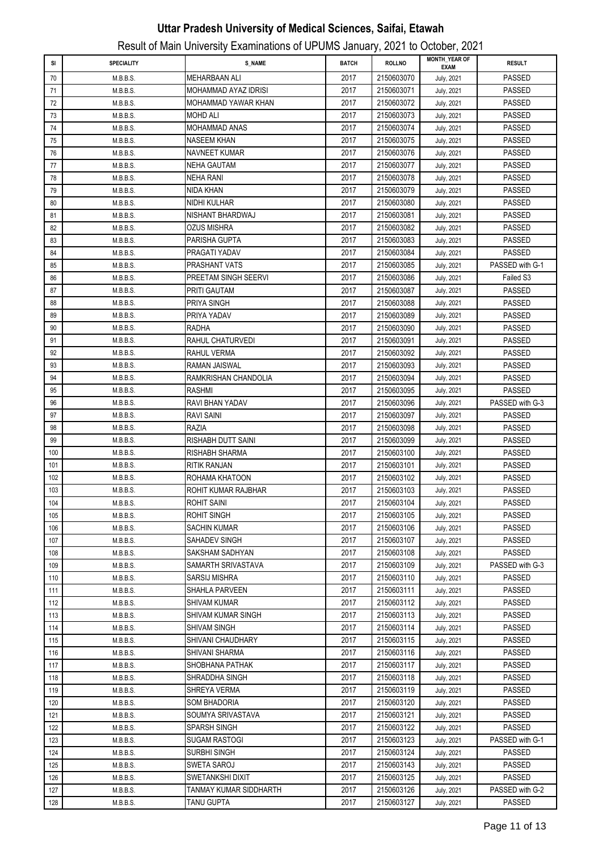| SI  | <b>SPECIALITY</b> | S NAME                      | <b>BATCH</b> | <b>ROLLNO</b> | <b>MONTH YEAR OF</b><br><b>EXAM</b> | <b>RESULT</b>   |
|-----|-------------------|-----------------------------|--------------|---------------|-------------------------------------|-----------------|
| 70  | M.B.B.S.          | <b>MEHARBAAN ALI</b>        | 2017         | 2150603070    | July, 2021                          | <b>PASSED</b>   |
| 71  | M.B.B.S.          | <b>MOHAMMAD AYAZ IDRISI</b> | 2017         | 2150603071    | July, 2021                          | <b>PASSED</b>   |
| 72  | M.B.B.S.          | MOHAMMAD YAWAR KHAN         | 2017         | 2150603072    | July, 2021                          | <b>PASSED</b>   |
| 73  | M.B.B.S.          | MOHD ALI                    | 2017         | 2150603073    | July, 2021                          | <b>PASSED</b>   |
| 74  | M.B.B.S.          | MOHAMMAD ANAS               | 2017         | 2150603074    | July, 2021                          | <b>PASSED</b>   |
| 75  | M.B.B.S.          | <b>NASEEM KHAN</b>          | 2017         | 2150603075    | July, 2021                          | <b>PASSED</b>   |
| 76  | M.B.B.S.          | <b>NAVNEET KUMAR</b>        | 2017         | 2150603076    | July, 2021                          | <b>PASSED</b>   |
| 77  | M.B.B.S.          | <b>NEHA GAUTAM</b>          | 2017         | 2150603077    | July, 2021                          | <b>PASSED</b>   |
| 78  | M.B.B.S.          | NEHA RANI                   | 2017         | 2150603078    | July, 2021                          | <b>PASSED</b>   |
| 79  | M.B.B.S.          | NIDA KHAN                   | 2017         | 2150603079    | July, 2021                          | PASSED          |
| 80  | M.B.B.S.          | NIDHI KULHAR                | 2017         | 2150603080    | July, 2021                          | <b>PASSED</b>   |
| 81  | M.B.B.S.          | NISHANT BHARDWAJ            | 2017         | 2150603081    | July, 2021                          | <b>PASSED</b>   |
| 82  | M.B.B.S.          | OZUS MISHRA                 | 2017         | 2150603082    | July, 2021                          | <b>PASSED</b>   |
| 83  | M.B.B.S.          | PARISHA GUPTA               | 2017         | 2150603083    | July, 2021                          | PASSED          |
| 84  | M.B.B.S.          | PRAGATI YADAV               | 2017         | 2150603084    | July, 2021                          | PASSED          |
| 85  | M.B.B.S.          | PRASHANT VATS               | 2017         | 2150603085    | July, 2021                          | PASSED with G-1 |
| 86  | M.B.B.S.          | PREETAM SINGH SEERVI        | 2017         | 2150603086    | July, 2021                          | Failed S3       |
| 87  | M.B.B.S.          | PRITI GAUTAM                | 2017         | 2150603087    | July, 2021                          | PASSED          |
| 88  | M.B.B.S.          | PRIYA SINGH                 | 2017         | 2150603088    | July, 2021                          | PASSED          |
| 89  | M.B.B.S.          | PRIYA YADAV                 | 2017         | 2150603089    | July, 2021                          | <b>PASSED</b>   |
| 90  | M.B.B.S.          | RADHA                       | 2017         | 2150603090    | July, 2021                          | <b>PASSED</b>   |
| 91  | M.B.B.S.          | RAHUL CHATURVEDI            | 2017         | 2150603091    | July, 2021                          | <b>PASSED</b>   |
| 92  | M.B.B.S.          | RAHUL VERMA                 | 2017         | 2150603092    | July, 2021                          | <b>PASSED</b>   |
| 93  | M.B.B.S.          | RAMAN JAISWAL               | 2017         | 2150603093    | July, 2021                          | PASSED          |
| 94  | M.B.B.S.          | RAMKRISHAN CHANDOLIA        | 2017         | 2150603094    | July, 2021                          | <b>PASSED</b>   |
| 95  | M.B.B.S.          | RASHMI                      | 2017         | 2150603095    | July, 2021                          | <b>PASSED</b>   |
| 96  | M.B.B.S.          | RAVI BHAN YADAV             | 2017         | 2150603096    | July, 2021                          | PASSED with G-3 |
| 97  | M.B.B.S.          | RAVI SAINI                  | 2017         | 2150603097    | July, 2021                          | <b>PASSED</b>   |
| 98  | M.B.B.S.          | RAZIA                       | 2017         | 2150603098    | July, 2021                          | <b>PASSED</b>   |
| 99  | M.B.B.S.          | RISHABH DUTT SAINI          | 2017         | 2150603099    | July, 2021                          | <b>PASSED</b>   |
| 100 | M.B.B.S.          | RISHABH SHARMA              | 2017         | 2150603100    | July, 2021                          | PASSED          |
| 101 | M.B.B.S.          | RITIK RANJAN                | 2017         | 2150603101    | July, 2021                          | PASSED          |
| 102 | M.B.B.S.          | ROHAMA KHATOON              | 2017         | 2150603102    | July, 2021                          | PASSED          |
| 103 | M.B.B.S.          | ROHIT KUMAR RAJBHAR         | 2017         | 2150603103    | July, 2021                          | <b>PASSED</b>   |
| 104 | M.B.B.S.          | ROHIT SAINI                 | 2017         | 2150603104    | July, 2021                          | PASSED          |
| 105 | M.B.B.S.          | ROHIT SINGH                 | 2017         | 2150603105    | July, 2021                          | <b>PASSED</b>   |
| 106 | M.B.B.S.          | <b>SACHIN KUMAR</b>         | 2017         | 2150603106    | July, 2021                          | <b>PASSED</b>   |
| 107 | M.B.B.S.          | SAHADEV SINGH               | 2017         | 2150603107    | July, 2021                          | <b>PASSED</b>   |
| 108 | M.B.B.S.          | SAKSHAM SADHYAN             | 2017         | 2150603108    | July, 2021                          | <b>PASSED</b>   |
| 109 | M.B.B.S.          | SAMARTH SRIVASTAVA          | 2017         | 2150603109    | July, 2021                          | PASSED with G-3 |
| 110 | M.B.B.S.          | <b>SARSIJ MISHRA</b>        | 2017         | 2150603110    | July, 2021                          | <b>PASSED</b>   |
| 111 | M.B.B.S.          | <b>SHAHLA PARVEEN</b>       | 2017         | 2150603111    | July, 2021                          | PASSED          |
| 112 | M.B.B.S.          | SHIVAM KUMAR                | 2017         | 2150603112    | July, 2021                          | PASSED          |
| 113 | M.B.B.S.          | SHIVAM KUMAR SINGH          | 2017         | 2150603113    | July, 2021                          | PASSED          |
| 114 | M.B.B.S.          | SHIVAM SINGH                | 2017         | 2150603114    | July, 2021                          | <b>PASSED</b>   |
| 115 | M.B.B.S.          | SHIVANI CHAUDHARY           | 2017         | 2150603115    | July, 2021                          | PASSED          |
| 116 | M.B.B.S.          | SHIVANI SHARMA              | 2017         | 2150603116    | July, 2021                          | PASSED          |
| 117 | M.B.B.S.          | SHOBHANA PATHAK             | 2017         | 2150603117    | July, 2021                          | PASSED          |
| 118 | M.B.B.S.          | SHRADDHA SINGH              | 2017         | 2150603118    | July, 2021                          | PASSED          |
| 119 | M.B.B.S.          | SHREYA VERMA                | 2017         | 2150603119    | July, 2021                          | PASSED          |
| 120 | M.B.B.S.          | SOM BHADORIA                | 2017         | 2150603120    | July, 2021                          | PASSED          |
| 121 | M.B.B.S.          | SOUMYA SRIVASTAVA           | 2017         | 2150603121    | July, 2021                          | PASSED          |
| 122 | M.B.B.S.          | <b>SPARSH SINGH</b>         | 2017         | 2150603122    | July, 2021                          | PASSED          |
| 123 | M.B.B.S.          | <b>SUGAM RASTOGI</b>        | 2017         | 2150603123    | July, 2021                          | PASSED with G-1 |
| 124 | M.B.B.S.          | SURBHI SINGH                | 2017         | 2150603124    | July, 2021                          | PASSED          |
| 125 | M.B.B.S.          | SWETA SAROJ                 | 2017         | 2150603143    | July, 2021                          | PASSED          |
| 126 | M.B.B.S.          | SWETANKSHI DIXIT            | 2017         | 2150603125    | July, 2021                          | PASSED          |
| 127 | M.B.B.S.          | TANMAY KUMAR SIDDHARTH      | 2017         | 2150603126    | July, 2021                          | PASSED with G-2 |
| 128 | M.B.B.S.          | TANU GUPTA                  | 2017         | 2150603127    | July, 2021                          | PASSED          |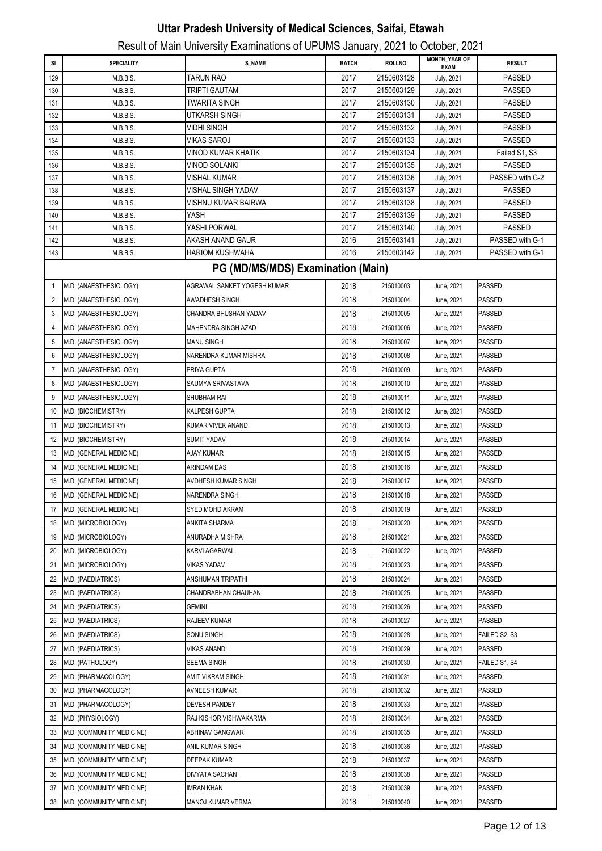| SI             | <b>SPECIALITY</b>         | <b>S_NAME</b>                     | <b>BATCH</b> | <b>ROLLNO</b>            | <b>MONTH_YEAR OF</b>     | <b>RESULT</b>                  |
|----------------|---------------------------|-----------------------------------|--------------|--------------------------|--------------------------|--------------------------------|
|                |                           |                                   |              |                          | <b>EXAM</b>              |                                |
| 129            | M.B.B.S.                  | TARUN RAO<br>TRIPTI GAUTAM        | 2017<br>2017 | 2150603128<br>2150603129 | July, 2021               | <b>PASSED</b><br><b>PASSED</b> |
| 130<br>131     | M.B.B.S.<br>M.B.B.S.      | <b>TWARITA SINGH</b>              | 2017         | 2150603130               | July, 2021<br>July, 2021 | <b>PASSED</b>                  |
| 132            | M.B.B.S.                  | UTKARSH SINGH                     | 2017         | 2150603131               | July, 2021               | <b>PASSED</b>                  |
| 133            | M.B.B.S.                  | VIDHI SINGH                       | 2017         | 2150603132               | July, 2021               | <b>PASSED</b>                  |
| 134            | M.B.B.S.                  | VIKAS SAROJ                       | 2017         | 2150603133               | July, 2021               | <b>PASSED</b>                  |
| 135            | M.B.B.S.                  | <b>VINOD KUMAR KHATIK</b>         | 2017         | 2150603134               | July, 2021               | Failed S1, S3                  |
| 136            | M.B.B.S.                  | VINOD SOLANKI                     | 2017         | 2150603135               | July, 2021               | <b>PASSED</b>                  |
| 137            | M.B.B.S.                  | VISHAL KUMAR                      | 2017         | 2150603136               | July, 2021               | PASSED with G-2                |
| 138            | M.B.B.S.                  | VISHAL SINGH YADAV                | 2017         | 2150603137               | July, 2021               | <b>PASSED</b>                  |
| 139            | M.B.B.S.                  | VISHNU KUMAR BAIRWA               | 2017         | 2150603138               | July, 2021               | <b>PASSED</b>                  |
| 140            | M.B.B.S.                  | YASH                              | 2017         | 2150603139               | July, 2021               | <b>PASSED</b>                  |
| 141            | M.B.B.S.                  | YASHI PORWAL                      | 2017         | 2150603140               | July, 2021               | <b>PASSED</b>                  |
| 142            | M.B.B.S.                  | AKASH ANAND GAUR                  | 2016         | 2150603141               | July, 2021               | PASSED with G-1                |
| 143            | M.B.B.S.                  | <b>HARIOM KUSHWAHA</b>            | 2016         | 2150603142               | July, 2021               | PASSED with G-1                |
|                |                           | PG (MD/MS/MDS) Examination (Main) |              |                          |                          |                                |
| 1              | M.D. (ANAESTHESIOLOGY)    | AGRAWAL SANKET YOGESH KUMAR       | 2018         | 215010003                | June, 2021               | PASSED                         |
| 2              | M.D. (ANAESTHESIOLOGY)    | AWADHESH SINGH                    | 2018         | 215010004                | June, 2021               | <b>PASSED</b>                  |
| 3              | M.D. (ANAESTHESIOLOGY)    | CHANDRA BHUSHAN YADAV             | 2018         | 215010005                | June, 2021               | PASSED                         |
| 4              | M.D. (ANAESTHESIOLOGY)    | MAHENDRA SINGH AZAD               | 2018         | 215010006                | June, 2021               | <b>PASSED</b>                  |
| 5              | M.D. (ANAESTHESIOLOGY)    | MANU SINGH                        | 2018         | 215010007                | June, 2021               | <b>PASSED</b>                  |
| 6              | M.D. (ANAESTHESIOLOGY)    | NARENDRA KUMAR MISHRA             | 2018         | 215010008                | June, 2021               | PASSED                         |
| $\overline{7}$ | M.D. (ANAESTHESIOLOGY)    | PRIYA GUPTA                       | 2018         | 215010009                | June, 2021               | <b>PASSED</b>                  |
| 8              | M.D. (ANAESTHESIOLOGY)    | SAUMYA SRIVASTAVA                 | 2018         | 215010010                | June, 2021               | <b>PASSED</b>                  |
| 9              | M.D. (ANAESTHESIOLOGY)    | SHUBHAM RAI                       | 2018         | 215010011                | June, 2021               | <b>PASSED</b>                  |
| 10             | M.D. (BIOCHEMISTRY)       | KALPESH GUPTA                     | 2018         | 215010012                | June, 2021               | PASSED                         |
| 11             | M.D. (BIOCHEMISTRY)       | KUMAR VIVEK ANAND                 | 2018         | 215010013                | June, 2021               | PASSED                         |
| 12             | M.D. (BIOCHEMISTRY)       | SUMIT YADAV                       | 2018         | 215010014                | June, 2021               | <b>PASSED</b>                  |
| 13             | M.D. (GENERAL MEDICINE)   | AJAY KUMAR                        | 2018         | 215010015                | June, 2021               | PASSED                         |
| 14             | M.D. (GENERAL MEDICINE)   | <b>ARINDAM DAS</b>                | 2018         | 215010016                | June, 2021               | <b>PASSED</b>                  |
| 15             | M.D. (GENERAL MEDICINE)   | AVDHESH KUMAR SINGH               | 2018         | 215010017                | June, 2021               | <b>PASSED</b>                  |
| 16             | M.D. (GENERAL MEDICINE)   | NARENDRA SINGH                    | 2018         | 215010018                | June, 2021               | <b>PASSED</b>                  |
| 17             | M.D. (GENERAL MEDICINE)   | SYED MOHD AKRAM                   | 2018         | 215010019                | June, 2021               | <b>PASSED</b>                  |
| 18             | M.D. (MICROBIOLOGY)       | ANKITA SHARMA                     | 2018         | 215010020                | June, 2021               | PASSED                         |
| 19             | M.D. (MICROBIOLOGY)       | ANURADHA MISHRA                   | 2018         | 215010021                | June, 2021               | PASSED                         |
| 20             | M.D. (MICROBIOLOGY)       | KARVI AGARWAL                     | 2018         | 215010022                | June, 2021               | PASSED                         |
| 21             | M.D. (MICROBIOLOGY)       | VIKAS YADAV                       | 2018         | 215010023                | June, 2021               | PASSED                         |
| 22             | M.D. (PAEDIATRICS)        | ANSHUMAN TRIPATHI                 | 2018         | 215010024                | June, 2021               | PASSED                         |
| 23             | M.D. (PAEDIATRICS)        | CHANDRABHAN CHAUHAN               | 2018         | 215010025                | June, 2021               | PASSED                         |
| 24             | M.D. (PAEDIATRICS)        | <b>GEMINI</b>                     | 2018         | 215010026                | June, 2021               | PASSED                         |
| 25             | M.D. (PAEDIATRICS)        | RAJEEV KUMAR                      | 2018         | 215010027                | June, 2021               | PASSED                         |
| 26             | M.D. (PAEDIATRICS)        | SONU SINGH                        | 2018         | 215010028                | June, 2021               | FAILED S2, S3                  |
| 27             | M.D. (PAEDIATRICS)        | VIKAS ANAND                       | 2018         | 215010029                | June, 2021               | PASSED                         |
|                |                           |                                   |              |                          |                          |                                |
| 28             | M.D. (PATHOLOGY)          | SEEMA SINGH                       | 2018<br>2018 | 215010030                | June, 2021               | FAILED S1, S4                  |
| 29             | M.D. (PHARMACOLOGY)       | AMIT VIKRAM SINGH                 |              | 215010031                | June, 2021               | PASSED                         |
| 30             | M.D. (PHARMACOLOGY)       | AVNEESH KUMAR                     | 2018         | 215010032                | June, 2021               | PASSED                         |
| 31             | M.D. (PHARMACOLOGY)       | DEVESH PANDEY                     | 2018         | 215010033                | June, 2021               | PASSED                         |
| 32             | M.D. (PHYSIOLOGY)         | RAJ KISHOR VISHWAKARMA            | 2018         | 215010034                | June, 2021               | PASSED                         |
| 33             | M.D. (COMMUNITY MEDICINE) | ABHINAV GANGWAR                   | 2018         | 215010035                | June, 2021               | PASSED                         |
| 34             | M.D. (COMMUNITY MEDICINE) | ANIL KUMAR SINGH                  | 2018         | 215010036                | June, 2021               | PASSED                         |
| 35             | M.D. (COMMUNITY MEDICINE) | DEEPAK KUMAR                      | 2018         | 215010037                | June, 2021               | PASSED                         |
| 36             | M.D. (COMMUNITY MEDICINE) | DIVYATA SACHAN                    | 2018         | 215010038                | June, 2021               | PASSED                         |
| 37             | M.D. (COMMUNITY MEDICINE) | IMRAN KHAN                        | 2018         | 215010039                | June, 2021               | PASSED                         |
| 38             | M.D. (COMMUNITY MEDICINE) | MANOJ KUMAR VERMA                 | 2018         | 215010040                | June, 2021               | <b>PASSED</b>                  |